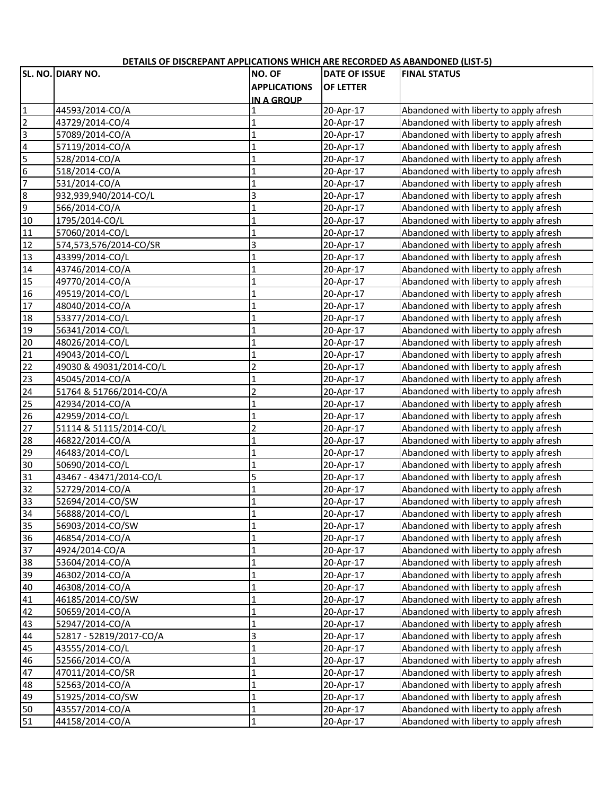|                              | UCTAILS OF DISCREPANT APPLICATIONS WHICH ANE NECONDED AS ADAINDONED (LIST-3)<br><b>SL. NO. DIARY NO.</b> | <b>NO. OF</b>           | <b>DATE OF ISSUE</b> | <b>FINAL STATUS</b>                                                              |
|------------------------------|----------------------------------------------------------------------------------------------------------|-------------------------|----------------------|----------------------------------------------------------------------------------|
|                              |                                                                                                          |                         |                      |                                                                                  |
|                              |                                                                                                          | <b>APPLICATIONS</b>     | <b>OF LETTER</b>     |                                                                                  |
| $\mathbf{1}$                 |                                                                                                          | <b>IN A GROUP</b>       |                      |                                                                                  |
| $\overline{2}$               | 44593/2014-CO/A                                                                                          |                         | 20-Apr-17            | Abandoned with liberty to apply afresh<br>Abandoned with liberty to apply afresh |
|                              | 43729/2014-CO/4                                                                                          | 1                       | 20-Apr-17            |                                                                                  |
| c<br>$\overline{\mathbf{r}}$ | 57089/2014-CO/A                                                                                          | 1                       | 20-Apr-17            | Abandoned with liberty to apply afresh                                           |
|                              | 57119/2014-CO/A                                                                                          | $\mathbf{1}$            | 20-Apr-17            | Abandoned with liberty to apply afresh                                           |
| $\overline{5}$               | 528/2014-CO/A                                                                                            | $\mathbf{1}$            | 20-Apr-17            | Abandoned with liberty to apply afresh                                           |
| $\overline{6}$               | 518/2014-CO/A                                                                                            | $\mathbf 1$             | 20-Apr-17            | Abandoned with liberty to apply afresh                                           |
| $\overline{7}$               | 531/2014-CO/A                                                                                            | $\mathbf 1$             | 20-Apr-17            | Abandoned with liberty to apply afresh                                           |
| 8                            | 932,939,940/2014-CO/L                                                                                    | $\overline{\mathbf{3}}$ | 20-Apr-17            | Abandoned with liberty to apply afresh                                           |
| $\overline{9}$               | 566/2014-CO/A                                                                                            | $\mathbf 1$             | 20-Apr-17            | Abandoned with liberty to apply afresh                                           |
| 10                           | 1795/2014-CO/L                                                                                           | $\mathbf 1$             | 20-Apr-17            | Abandoned with liberty to apply afresh                                           |
| 11                           | 57060/2014-CO/L                                                                                          | $\mathbf 1$             | 20-Apr-17            | Abandoned with liberty to apply afresh                                           |
| 12                           | 574,573,576/2014-CO/SR                                                                                   | $\overline{\mathbf{3}}$ | 20-Apr-17            | Abandoned with liberty to apply afresh                                           |
| 13                           | 43399/2014-CO/L                                                                                          | $\mathbf{1}$            | 20-Apr-17            | Abandoned with liberty to apply afresh                                           |
| 14                           | 43746/2014-CO/A                                                                                          | $\mathbf{1}$            | 20-Apr-17            | Abandoned with liberty to apply afresh                                           |
| 15                           | 49770/2014-CO/A                                                                                          | $\mathbf 1$             | 20-Apr-17            | Abandoned with liberty to apply afresh                                           |
| 16                           | 49519/2014-CO/L                                                                                          | $\mathbf 1$             | 20-Apr-17            | Abandoned with liberty to apply afresh                                           |
| 17                           | 48040/2014-CO/A                                                                                          | 1                       | 20-Apr-17            | Abandoned with liberty to apply afresh                                           |
| 18                           | 53377/2014-CO/L                                                                                          | $\overline{1}$          | 20-Apr-17            | Abandoned with liberty to apply afresh                                           |
| 19                           | 56341/2014-CO/L                                                                                          | $\mathbf{1}$            | 20-Apr-17            | Abandoned with liberty to apply afresh                                           |
| 20                           | 48026/2014-CO/L                                                                                          | $\overline{1}$          | 20-Apr-17            | Abandoned with liberty to apply afresh                                           |
| $\overline{21}$              | 49043/2014-CO/L                                                                                          | $\mathbf{1}$            | 20-Apr-17            | Abandoned with liberty to apply afresh                                           |
| 22                           | 49030 & 49031/2014-CO/L                                                                                  | $\overline{2}$          | 20-Apr-17            | Abandoned with liberty to apply afresh                                           |
| 23                           | 45045/2014-CO/A                                                                                          | $\mathbf 1$             | 20-Apr-17            | Abandoned with liberty to apply afresh                                           |
| 24                           | 51764 & 51766/2014-CO/A                                                                                  | $\overline{2}$          | 20-Apr-17            | Abandoned with liberty to apply afresh                                           |
| 25                           | 42934/2014-CO/A                                                                                          | $\mathbf 1$             | 20-Apr-17            | Abandoned with liberty to apply afresh                                           |
| 26                           | 42959/2014-CO/L                                                                                          | $\mathbf{1}$            | 20-Apr-17            | Abandoned with liberty to apply afresh                                           |
| 27                           | 51114 & 51115/2014-CO/L                                                                                  | $\overline{2}$          | 20-Apr-17            | Abandoned with liberty to apply afresh                                           |
| 28                           | 46822/2014-CO/A                                                                                          | $\mathbf{1}$            | 20-Apr-17            | Abandoned with liberty to apply afresh                                           |
| 29                           | 46483/2014-CO/L                                                                                          | $\mathbf 1$             | 20-Apr-17            | Abandoned with liberty to apply afresh                                           |
| 30                           | 50690/2014-CO/L                                                                                          | $\mathbf{1}$            | 20-Apr-17            | Abandoned with liberty to apply afresh                                           |
| 31                           | 43467 - 43471/2014-CO/L                                                                                  | 5                       | 20-Apr-17            | Abandoned with liberty to apply afresh                                           |
| 32                           | 52729/2014-CO/A                                                                                          | $\mathbf 1$             | 20-Apr-17            | Abandoned with liberty to apply afresh                                           |
| 33                           | 52694/2014-CO/SW                                                                                         | $\mathbf{1}$            | 20-Apr-17            | Abandoned with liberty to apply afresh                                           |
| 34                           | 56888/2014-CO/L                                                                                          | ı                       | 20-Apr-17            | Abandoned with liberty to apply afresh                                           |
| 35                           | 56903/2014-CO/SW                                                                                         | $\mathbf{1}$            | 20-Apr-17            | Abandoned with liberty to apply afresh                                           |
| 36                           | 46854/2014-CO/A                                                                                          | $\mathbf{1}$            | 20-Apr-17            | Abandoned with liberty to apply afresh                                           |
| 37                           | 4924/2014-CO/A                                                                                           | $\mathbf{1}$            | 20-Apr-17            | Abandoned with liberty to apply afresh                                           |
| 38                           | 53604/2014-CO/A                                                                                          | $\mathbf{1}$            | 20-Apr-17            | Abandoned with liberty to apply afresh                                           |
| 39                           | 46302/2014-CO/A                                                                                          | $\mathbf 1$             | 20-Apr-17            | Abandoned with liberty to apply afresh                                           |
| 40                           | 46308/2014-CO/A                                                                                          | $\mathbf 1$             | 20-Apr-17            | Abandoned with liberty to apply afresh                                           |
| 41                           | 46185/2014-CO/SW                                                                                         | $\mathbf 1$             | 20-Apr-17            | Abandoned with liberty to apply afresh                                           |
| 42                           | 50659/2014-CO/A                                                                                          | $\mathbf 1$             | 20-Apr-17            | Abandoned with liberty to apply afresh                                           |
| 43                           | 52947/2014-CO/A                                                                                          | $\mathbf 1$             | 20-Apr-17            | Abandoned with liberty to apply afresh                                           |
| 44                           | 52817 - 52819/2017-CO/A                                                                                  | 3                       | 20-Apr-17            | Abandoned with liberty to apply afresh                                           |
| 45                           | 43555/2014-CO/L                                                                                          | $\mathbf 1$             | 20-Apr-17            | Abandoned with liberty to apply afresh                                           |
| 46                           | 52566/2014-CO/A                                                                                          | $\mathbf 1$             | 20-Apr-17            | Abandoned with liberty to apply afresh                                           |
| 47                           | 47011/2014-CO/SR                                                                                         | $\mathbf 1$             | 20-Apr-17            | Abandoned with liberty to apply afresh                                           |
| 48                           | 52563/2014-CO/A                                                                                          | $\mathbf{1}$            | 20-Apr-17            | Abandoned with liberty to apply afresh                                           |
| 49                           | 51925/2014-CO/SW                                                                                         | $\mathbf 1$             | 20-Apr-17            | Abandoned with liberty to apply afresh                                           |
| 50                           | 43557/2014-CO/A                                                                                          | $\mathbf 1$             | 20-Apr-17            | Abandoned with liberty to apply afresh                                           |
| 51                           | 44158/2014-CO/A                                                                                          | $\mathbf{1}$            | 20-Apr-17            | Abandoned with liberty to apply afresh                                           |

## **DETAILS OF DISCREPANT APPLICATIONS WHICH ARE RECORDED AS ABANDONED (LIST‐5)**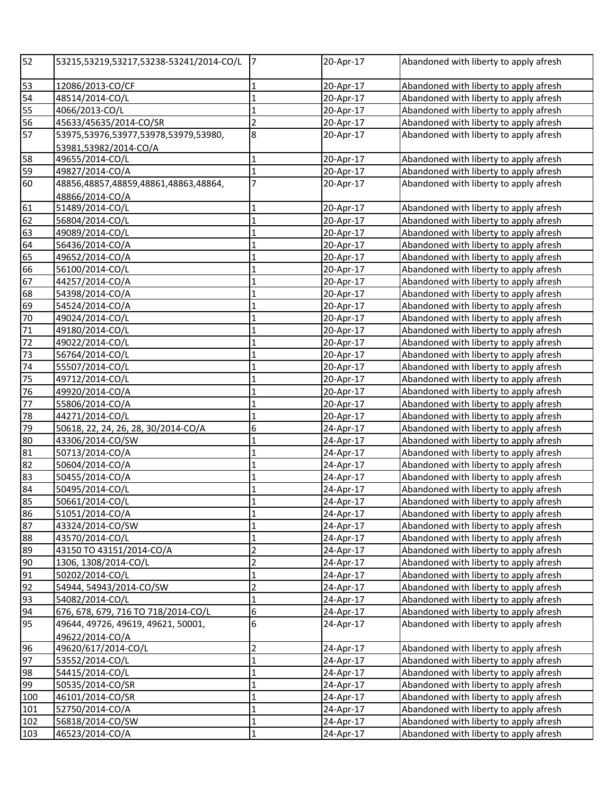| 52       | 53215,53219,53217,53238-53241/2014-CO/L  | 7              | 20-Apr-17 | Abandoned with liberty to apply afresh                                           |
|----------|------------------------------------------|----------------|-----------|----------------------------------------------------------------------------------|
| 53       | 12086/2013-CO/CF                         | $\mathbf 1$    | 20-Apr-17 | Abandoned with liberty to apply afresh                                           |
| 54       | 48514/2014-CO/L                          | $\mathbf 1$    | 20-Apr-17 | Abandoned with liberty to apply afresh                                           |
| 55       | 4066/2013-CO/L                           | $\mathbf 1$    | 20-Apr-17 | Abandoned with liberty to apply afresh                                           |
| 56       | 45633/45635/2014-CO/SR                   | $\overline{2}$ | 20-Apr-17 | Abandoned with liberty to apply afresh                                           |
| 57       | 53975,53976,53977,53978,53979,53980,     | 8              | 20-Apr-17 | Abandoned with liberty to apply afresh                                           |
|          | 53981,53982/2014-CO/A<br>49655/2014-CO/L | $\mathbf 1$    | 20-Apr-17 | Abandoned with liberty to apply afresh                                           |
| 58<br>59 | 49827/2014-CO/A                          | $\overline{1}$ | 20-Apr-17 | Abandoned with liberty to apply afresh                                           |
| 60       | 48856,48857,48859,48861,48863,48864,     | $\overline{7}$ | 20-Apr-17 | Abandoned with liberty to apply afresh                                           |
|          | 48866/2014-CO/A                          |                |           |                                                                                  |
| 61       | 51489/2014-CO/L                          | 1              | 20-Apr-17 | Abandoned with liberty to apply afresh                                           |
| 62       | 56804/2014-CO/L                          | $\overline{1}$ | 20-Apr-17 | Abandoned with liberty to apply afresh                                           |
| 63       | 49089/2014-CO/L                          | 1              | 20-Apr-17 | Abandoned with liberty to apply afresh                                           |
| 64       | 56436/2014-CO/A                          | $\overline{1}$ | 20-Apr-17 | Abandoned with liberty to apply afresh                                           |
| 65       | 49652/2014-CO/A                          | $\mathbf{1}$   | 20-Apr-17 | Abandoned with liberty to apply afresh                                           |
| 66       | 56100/2014-CO/L                          | $\mathbf{1}$   | 20-Apr-17 | Abandoned with liberty to apply afresh                                           |
| 67       | 44257/2014-CO/A                          | $\mathbf{1}$   | 20-Apr-17 | Abandoned with liberty to apply afresh                                           |
| 68       | 54398/2014-CO/A                          | $\mathbf{1}$   | 20-Apr-17 | Abandoned with liberty to apply afresh                                           |
| 69       | 54524/2014-CO/A                          | $\mathbf{1}$   | 20-Apr-17 | Abandoned with liberty to apply afresh                                           |
| 70       | 49024/2014-CO/L                          | $\mathbf{1}$   | 20-Apr-17 | Abandoned with liberty to apply afresh                                           |
| 71       | 49180/2014-CO/L                          | $\mathbf{1}$   | 20-Apr-17 | Abandoned with liberty to apply afresh                                           |
| 72       | 49022/2014-CO/L                          | $\mathbf{1}$   | 20-Apr-17 | Abandoned with liberty to apply afresh                                           |
| 73       | 56764/2014-CO/L                          | $\mathbf{1}$   | 20-Apr-17 | Abandoned with liberty to apply afresh                                           |
| 74       | 55507/2014-CO/L                          | $\mathbf{1}$   | 20-Apr-17 | Abandoned with liberty to apply afresh                                           |
| 75       | 49712/2014-CO/L                          | $\mathbf{1}$   | 20-Apr-17 | Abandoned with liberty to apply afresh                                           |
| 76       | 49920/2014-CO/A                          | $\mathbf{1}$   | 20-Apr-17 | Abandoned with liberty to apply afresh                                           |
| 77       | 55806/2014-CO/A                          | $\mathbf{1}$   | 20-Apr-17 | Abandoned with liberty to apply afresh                                           |
| 78       | 44271/2014-CO/L                          | $\overline{1}$ | 20-Apr-17 | Abandoned with liberty to apply afresh                                           |
| 79       | 50618, 22, 24, 26, 28, 30/2014-CO/A      | 6              | 24-Apr-17 | Abandoned with liberty to apply afresh                                           |
| 80       | 43306/2014-CO/SW                         | $\mathbf{1}$   | 24-Apr-17 | Abandoned with liberty to apply afresh                                           |
| 81       | 50713/2014-CO/A                          | $\mathbf{1}$   | 24-Apr-17 | Abandoned with liberty to apply afresh                                           |
| 82       | 50604/2014-CO/A                          | $\mathbf 1$    | 24-Apr-17 | Abandoned with liberty to apply afresh                                           |
| 83       | 50455/2014-CO/A                          | $\mathbf 1$    | 24-Apr-17 | Abandoned with liberty to apply afresh                                           |
| 84       | 50495/2014-CO/L                          | $\mathbf{1}$   | 24-Apr-17 | Abandoned with liberty to apply afresh                                           |
| 85       | 50661/2014-CO/L                          | $\mathbf{1}$   | 24-Apr-17 | Abandoned with liberty to apply afresh                                           |
| 86       | 51051/2014-CO/A                          | 1              | 24-Apr-17 | Abandoned with liberty to apply afresh                                           |
| 87       | 43324/2014-CO/SW                         | $\mathbf 1$    | 24-Apr-17 | Abandoned with liberty to apply afresh                                           |
| 88       | 43570/2014-CO/L                          | $\mathbf 1$    | 24-Apr-17 | Abandoned with liberty to apply afresh                                           |
| 89       | 43150 TO 43151/2014-CO/A                 | $\overline{c}$ | 24-Apr-17 | Abandoned with liberty to apply afresh                                           |
| 90       | 1306, 1308/2014-CO/L                     | $\overline{2}$ | 24-Apr-17 | Abandoned with liberty to apply afresh                                           |
| 91       | 50202/2014-CO/L                          | $\overline{1}$ | 24-Apr-17 | Abandoned with liberty to apply afresh                                           |
| 92       | 54944, 54943/2014-CO/SW                  | $\overline{2}$ | 24-Apr-17 | Abandoned with liberty to apply afresh                                           |
| 93       | 54082/2014-CO/L                          | $\overline{1}$ | 24-Apr-17 | Abandoned with liberty to apply afresh                                           |
| 94       | 676, 678, 679, 716 TO 718/2014-CO/L      | 6              | 24-Apr-17 | Abandoned with liberty to apply afresh                                           |
| 95       | 49644, 49726, 49619, 49621, 50001,       | 6              | 24-Apr-17 | Abandoned with liberty to apply afresh                                           |
|          | 49622/2014-CO/A<br>49620/617/2014-CO/L   | $\overline{c}$ | 24-Apr-17 |                                                                                  |
| 96<br>97 | 53552/2014-CO/L                          | $\mathbf{1}$   | 24-Apr-17 | Abandoned with liberty to apply afresh                                           |
| 98       | 54415/2014-CO/L                          | $\mathbf{1}$   | 24-Apr-17 | Abandoned with liberty to apply afresh<br>Abandoned with liberty to apply afresh |
| 99       | 50535/2014-CO/SR                         | $\mathbf 1$    | 24-Apr-17 | Abandoned with liberty to apply afresh                                           |
| 100      | 46101/2014-CO/SR                         | $\mathbf{1}$   | 24-Apr-17 | Abandoned with liberty to apply afresh                                           |
| 101      | 52750/2014-CO/A                          | $\mathbf{1}$   | 24-Apr-17 | Abandoned with liberty to apply afresh                                           |
| 102      | 56818/2014-CO/SW                         | $\mathbf{1}$   | 24-Apr-17 | Abandoned with liberty to apply afresh                                           |
| 103      | 46523/2014-CO/A                          | $\mathbf 1$    | 24-Apr-17 | Abandoned with liberty to apply afresh                                           |
|          |                                          |                |           |                                                                                  |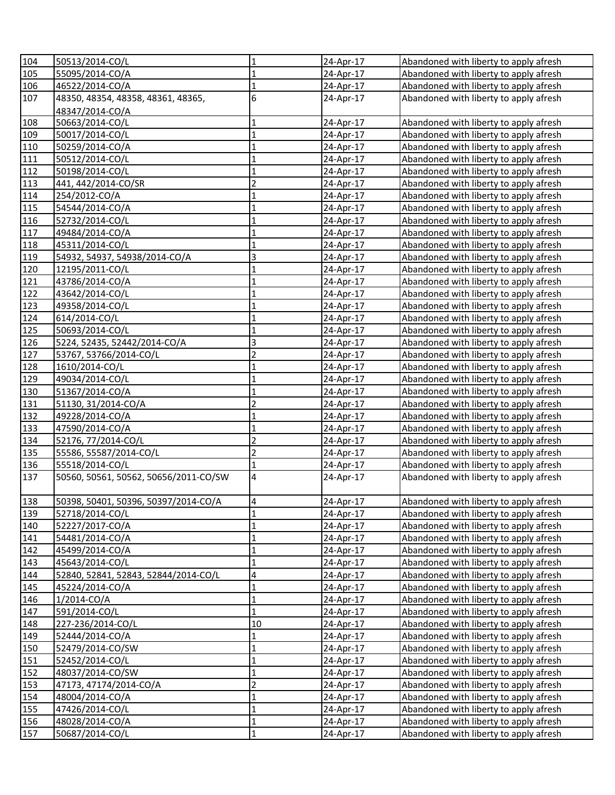| 104 | 50513/2014-CO/L                       | 1                           | 24-Apr-17 | Abandoned with liberty to apply afresh |
|-----|---------------------------------------|-----------------------------|-----------|----------------------------------------|
| 105 | 55095/2014-CO/A                       | $\mathbf{1}$                | 24-Apr-17 | Abandoned with liberty to apply afresh |
| 106 | 46522/2014-CO/A                       | $\mathbf 1$                 | 24-Apr-17 | Abandoned with liberty to apply afresh |
| 107 | 48350, 48354, 48358, 48361, 48365,    | 6                           | 24-Apr-17 | Abandoned with liberty to apply afresh |
|     | 48347/2014-CO/A                       |                             |           |                                        |
| 108 | 50663/2014-CO/L                       | $\mathbf 1$                 | 24-Apr-17 | Abandoned with liberty to apply afresh |
| 109 | 50017/2014-CO/L                       | $\mathbf 1$                 | 24-Apr-17 | Abandoned with liberty to apply afresh |
| 110 | 50259/2014-CO/A                       | $\mathbf 1$                 | 24-Apr-17 | Abandoned with liberty to apply afresh |
| 111 | 50512/2014-CO/L                       | $\mathbf{1}$                | 24-Apr-17 | Abandoned with liberty to apply afresh |
| 112 | 50198/2014-CO/L                       | $\mathbf{1}$                | 24-Apr-17 | Abandoned with liberty to apply afresh |
| 113 | 441, 442/2014-CO/SR                   | $\overline{c}$              | 24-Apr-17 | Abandoned with liberty to apply afresh |
| 114 | 254/2012-CO/A                         | $\overline{1}$              | 24-Apr-17 | Abandoned with liberty to apply afresh |
| 115 | 54544/2014-CO/A                       | $\overline{1}$              | 24-Apr-17 | Abandoned with liberty to apply afresh |
| 116 | 52732/2014-CO/L                       | $\overline{1}$              | 24-Apr-17 | Abandoned with liberty to apply afresh |
| 117 | 49484/2014-CO/A                       | $\overline{1}$              | 24-Apr-17 | Abandoned with liberty to apply afresh |
| 118 | 45311/2014-CO/L                       | $\overline{1}$              | 24-Apr-17 | Abandoned with liberty to apply afresh |
| 119 | 54932, 54937, 54938/2014-CO/A         | $\overline{\mathbf{3}}$     | 24-Apr-17 | Abandoned with liberty to apply afresh |
| 120 | 12195/2011-CO/L                       | $\overline{1}$              | 24-Apr-17 | Abandoned with liberty to apply afresh |
| 121 | 43786/2014-CO/A                       | $\mathbf{1}$                | 24-Apr-17 | Abandoned with liberty to apply afresh |
| 122 | 43642/2014-CO/L                       | $\mathbf{1}$                | 24-Apr-17 | Abandoned with liberty to apply afresh |
| 123 | 49358/2014-CO/L                       | $\mathbf{1}$                | 24-Apr-17 | Abandoned with liberty to apply afresh |
| 124 | 614/2014-CO/L                         | $\mathbf{1}$                | 24-Apr-17 | Abandoned with liberty to apply afresh |
| 125 | 50693/2014-CO/L                       | $\mathbf{1}$                | 24-Apr-17 | Abandoned with liberty to apply afresh |
| 126 | 5224, 52435, 52442/2014-CO/A          | 3                           | 24-Apr-17 |                                        |
|     |                                       | $\overline{c}$              |           | Abandoned with liberty to apply afresh |
| 127 | 53767, 53766/2014-CO/L                | $\overline{1}$              | 24-Apr-17 | Abandoned with liberty to apply afresh |
| 128 | 1610/2014-CO/L                        |                             | 24-Apr-17 | Abandoned with liberty to apply afresh |
| 129 | 49034/2014-CO/L                       | $\mathbf 1$<br>$\mathbf{1}$ | 24-Apr-17 | Abandoned with liberty to apply afresh |
| 130 | 51367/2014-CO/A                       | $\overline{2}$              | 24-Apr-17 | Abandoned with liberty to apply afresh |
| 131 | 51130, 31/2014-CO/A                   |                             | 24-Apr-17 | Abandoned with liberty to apply afresh |
| 132 | 49228/2014-CO/A                       | $\mathbf{1}$                | 24-Apr-17 | Abandoned with liberty to apply afresh |
| 133 | 47590/2014-CO/A                       | $\mathbf{1}$                | 24-Apr-17 | Abandoned with liberty to apply afresh |
| 134 | 52176, 77/2014-CO/L                   | $\overline{c}$              | 24-Apr-17 | Abandoned with liberty to apply afresh |
| 135 | 55586, 55587/2014-CO/L                | $\overline{2}$              | 24-Apr-17 | Abandoned with liberty to apply afresh |
| 136 | 55518/2014-CO/L                       | $\overline{1}$              | 24-Apr-17 | Abandoned with liberty to apply afresh |
| 137 | 50560, 50561, 50562, 50656/2011-CO/SW | $\overline{\mathbf{4}}$     | 24-Apr-17 | Abandoned with liberty to apply afresh |
| 138 | 50398, 50401, 50396, 50397/2014-CO/A  | $\overline{4}$              | 24-Apr-17 | Abandoned with liberty to apply afresh |
| 139 | 52718/2014-CO/L                       | 1                           | 24-Apr-17 | Abandoned with liberty to apply afresh |
| 140 | 52227/2017-CO/A                       | $\mathbf 1$                 | 24-Apr-17 | Abandoned with liberty to apply afresh |
| 141 | 54481/2014-CO/A                       | $\mathbf 1$                 | 24-Apr-17 | Abandoned with liberty to apply afresh |
| 142 | 45499/2014-CO/A                       | $\mathbf 1$                 | 24-Apr-17 | Abandoned with liberty to apply afresh |
| 143 | 45643/2014-CO/L                       | $\mathbf 1$                 | 24-Apr-17 | Abandoned with liberty to apply afresh |
| 144 | 52840, 52841, 52843, 52844/2014-CO/L  | $\overline{\mathbf{4}}$     | 24-Apr-17 | Abandoned with liberty to apply afresh |
| 145 | 45224/2014-CO/A                       | $\mathbf 1$                 | 24-Apr-17 | Abandoned with liberty to apply afresh |
| 146 | 1/2014-CO/A                           | $\overline{1}$              | 24-Apr-17 | Abandoned with liberty to apply afresh |
| 147 | 591/2014-CO/L                         | $\mathbf{1}$                | 24-Apr-17 | Abandoned with liberty to apply afresh |
| 148 | 227-236/2014-CO/L                     | 10                          | 24-Apr-17 | Abandoned with liberty to apply afresh |
| 149 | 52444/2014-CO/A                       | 1                           | 24-Apr-17 | Abandoned with liberty to apply afresh |
| 150 | 52479/2014-CO/SW                      | $\mathbf{1}$                | 24-Apr-17 | Abandoned with liberty to apply afresh |
| 151 | 52452/2014-CO/L                       | $\mathbf 1$                 | 24-Apr-17 | Abandoned with liberty to apply afresh |
| 152 | 48037/2014-CO/SW                      | $\mathbf{1}$                | 24-Apr-17 | Abandoned with liberty to apply afresh |
| 153 | 47173, 47174/2014-CO/A                | $\overline{2}$              | 24-Apr-17 | Abandoned with liberty to apply afresh |
| 154 | 48004/2014-CO/A                       | $\mathbf{1}$                | 24-Apr-17 | Abandoned with liberty to apply afresh |
| 155 | 47426/2014-CO/L                       | $\mathbf 1$                 | 24-Apr-17 | Abandoned with liberty to apply afresh |
| 156 | 48028/2014-CO/A                       | $\mathbf 1$                 | 24-Apr-17 | Abandoned with liberty to apply afresh |
| 157 | 50687/2014-CO/L                       | $\mathbf 1$                 | 24-Apr-17 | Abandoned with liberty to apply afresh |
|     |                                       |                             |           |                                        |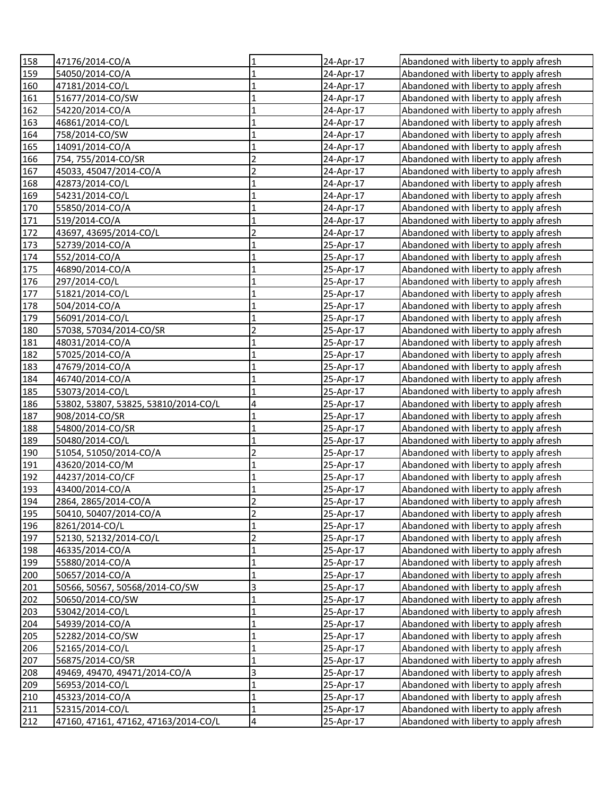| 158 | 47176/2014-CO/A                      | 1                       | 24-Apr-17 | Abandoned with liberty to apply afresh |
|-----|--------------------------------------|-------------------------|-----------|----------------------------------------|
| 159 | 54050/2014-CO/A                      | $\mathbf{1}$            | 24-Apr-17 | Abandoned with liberty to apply afresh |
| 160 | 47181/2014-CO/L                      | $\overline{1}$          | 24-Apr-17 | Abandoned with liberty to apply afresh |
| 161 | 51677/2014-CO/SW                     | $\mathbf{1}$            | 24-Apr-17 | Abandoned with liberty to apply afresh |
| 162 | 54220/2014-CO/A                      | $\mathbf{1}$            | 24-Apr-17 | Abandoned with liberty to apply afresh |
| 163 | 46861/2014-CO/L                      | $\mathbf 1$             | 24-Apr-17 | Abandoned with liberty to apply afresh |
| 164 | 758/2014-CO/SW                       | $\mathbf{1}$            | 24-Apr-17 | Abandoned with liberty to apply afresh |
| 165 | 14091/2014-CO/A                      | $\mathbf 1$             | 24-Apr-17 | Abandoned with liberty to apply afresh |
| 166 | 754, 755/2014-CO/SR                  | $\overline{c}$          | 24-Apr-17 | Abandoned with liberty to apply afresh |
| 167 | 45033, 45047/2014-CO/A               | $\overline{2}$          | 24-Apr-17 | Abandoned with liberty to apply afresh |
| 168 | 42873/2014-CO/L                      | $\mathbf{1}$            | 24-Apr-17 | Abandoned with liberty to apply afresh |
| 169 | 54231/2014-CO/L                      | $\mathbf{1}$            | 24-Apr-17 | Abandoned with liberty to apply afresh |
| 170 | 55850/2014-CO/A                      | $\mathbf{1}$            | 24-Apr-17 | Abandoned with liberty to apply afresh |
| 171 | 519/2014-CO/A                        | $\mathbf{1}$            | 24-Apr-17 | Abandoned with liberty to apply afresh |
| 172 | 43697, 43695/2014-CO/L               | $\overline{c}$          | 24-Apr-17 | Abandoned with liberty to apply afresh |
| 173 | 52739/2014-CO/A                      | $\mathbf{1}$            | 25-Apr-17 | Abandoned with liberty to apply afresh |
| 174 | 552/2014-CO/A                        | $\mathbf{1}$            | 25-Apr-17 | Abandoned with liberty to apply afresh |
| 175 | 46890/2014-CO/A                      | $\mathbf{1}$            | 25-Apr-17 | Abandoned with liberty to apply afresh |
| 176 | 297/2014-CO/L                        | $\mathbf{1}$            | 25-Apr-17 | Abandoned with liberty to apply afresh |
| 177 | 51821/2014-CO/L                      | $\overline{1}$          | 25-Apr-17 | Abandoned with liberty to apply afresh |
| 178 | 504/2014-CO/A                        | $\mathbf{1}$            | 25-Apr-17 | Abandoned with liberty to apply afresh |
| 179 | 56091/2014-CO/L                      | $\mathbf{1}$            | 25-Apr-17 | Abandoned with liberty to apply afresh |
| 180 | 57038, 57034/2014-CO/SR              | $\overline{2}$          | 25-Apr-17 | Abandoned with liberty to apply afresh |
| 181 | 48031/2014-CO/A                      | $\mathbf{1}$            | 25-Apr-17 | Abandoned with liberty to apply afresh |
| 182 | 57025/2014-CO/A                      | 1                       | 25-Apr-17 | Abandoned with liberty to apply afresh |
| 183 | 47679/2014-CO/A                      | 1                       | 25-Apr-17 | Abandoned with liberty to apply afresh |
| 184 | 46740/2014-CO/A                      | $\mathbf{1}$            | 25-Apr-17 | Abandoned with liberty to apply afresh |
| 185 | 53073/2014-CO/L                      | $\mathbf{1}$            | 25-Apr-17 | Abandoned with liberty to apply afresh |
| 186 | 53802, 53807, 53825, 53810/2014-CO/L | 4                       | 25-Apr-17 | Abandoned with liberty to apply afresh |
| 187 | 908/2014-CO/SR                       | $\mathbf{1}$            | 25-Apr-17 | Abandoned with liberty to apply afresh |
| 188 | 54800/2014-CO/SR                     | $\mathbf{1}$            | 25-Apr-17 | Abandoned with liberty to apply afresh |
| 189 | 50480/2014-CO/L                      | $\mathbf{1}$            | 25-Apr-17 | Abandoned with liberty to apply afresh |
| 190 | 51054, 51050/2014-CO/A               | $\overline{2}$          | 25-Apr-17 | Abandoned with liberty to apply afresh |
| 191 | 43620/2014-CO/M                      | $\mathbf{1}$            | 25-Apr-17 | Abandoned with liberty to apply afresh |
| 192 | 44237/2014-CO/CF                     | $\mathbf{1}$            | 25-Apr-17 | Abandoned with liberty to apply afresh |
| 193 | 43400/2014-CO/A                      | $\overline{1}$          | 25-Apr-17 | Abandoned with liberty to apply afresh |
| 194 | 2864, 2865/2014-CO/A                 | $\overline{2}$          | 25-Apr-17 | Abandoned with liberty to apply afresh |
| 195 | 50410, 50407/2014-CO/A               | $\overline{\mathbf{c}}$ | 25-Apr-17 | Abandoned with liberty to apply afresh |
| 196 | 8261/2014-CO/L                       | $\mathbf{1}$            | 25-Apr-17 | Abandoned with liberty to apply afresh |
| 197 | 52130, 52132/2014-CO/L               | $\overline{c}$          | 25-Apr-17 | Abandoned with liberty to apply afresh |
| 198 | 46335/2014-CO/A                      | $\mathbf{1}$            | 25-Apr-17 | Abandoned with liberty to apply afresh |
| 199 | 55880/2014-CO/A                      | $\mathbf{1}$            | 25-Apr-17 | Abandoned with liberty to apply afresh |
| 200 | 50657/2014-CO/A                      | $\mathbf 1$             | 25-Apr-17 | Abandoned with liberty to apply afresh |
| 201 | 50566, 50567, 50568/2014-CO/SW       | 3                       | 25-Apr-17 | Abandoned with liberty to apply afresh |
| 202 | 50650/2014-CO/SW                     | $\mathbf{1}$            | 25-Apr-17 | Abandoned with liberty to apply afresh |
| 203 | 53042/2014-CO/L                      | $\mathbf{1}$            | 25-Apr-17 | Abandoned with liberty to apply afresh |
| 204 | 54939/2014-CO/A                      | $\mathbf{1}$            | 25-Apr-17 | Abandoned with liberty to apply afresh |
| 205 | 52282/2014-CO/SW                     | $\mathbf{1}$            | 25-Apr-17 | Abandoned with liberty to apply afresh |
| 206 | 52165/2014-CO/L                      | $\overline{1}$          | 25-Apr-17 | Abandoned with liberty to apply afresh |
| 207 | 56875/2014-CO/SR                     | $\mathbf{1}$            | 25-Apr-17 | Abandoned with liberty to apply afresh |
| 208 | 49469, 49470, 49471/2014-CO/A        | 3                       | 25-Apr-17 | Abandoned with liberty to apply afresh |
| 209 | 56953/2014-CO/L                      | $\mathbf 1$             | 25-Apr-17 | Abandoned with liberty to apply afresh |
| 210 | 45323/2014-CO/A                      | $\mathbf{1}$            | 25-Apr-17 | Abandoned with liberty to apply afresh |
| 211 | 52315/2014-CO/L                      | $\mathbf{1}$            | 25-Apr-17 | Abandoned with liberty to apply afresh |
| 212 | 47160, 47161, 47162, 47163/2014-CO/L | 4                       | 25-Apr-17 | Abandoned with liberty to apply afresh |
|     |                                      |                         |           |                                        |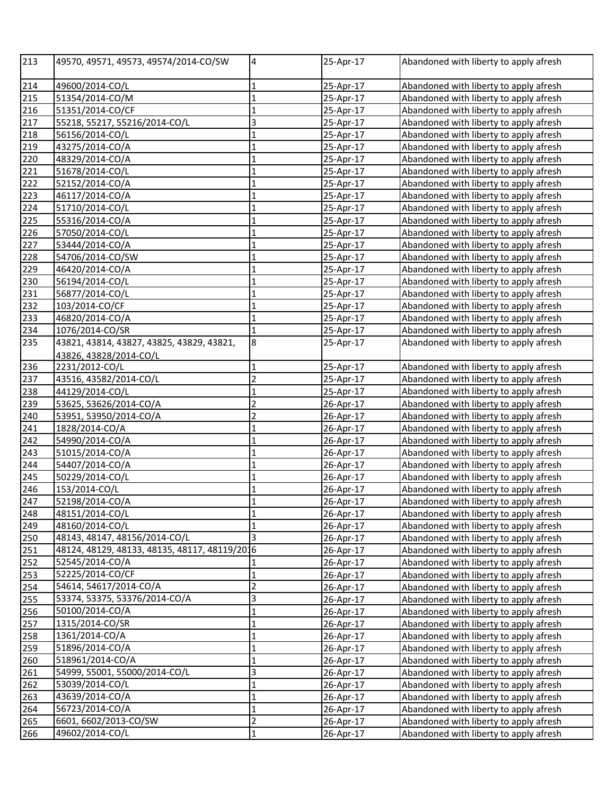| 213 | 49570, 49571, 49573, 49574/2014-CO/SW         | $\overline{4}$          | 25-Apr-17 | Abandoned with liberty to apply afresh |
|-----|-----------------------------------------------|-------------------------|-----------|----------------------------------------|
| 214 | 49600/2014-CO/L                               | 1                       | 25-Apr-17 | Abandoned with liberty to apply afresh |
| 215 | 51354/2014-CO/M                               | $\mathbf{1}$            | 25-Apr-17 | Abandoned with liberty to apply afresh |
| 216 | 51351/2014-CO/CF                              | $\mathbf{1}$            | 25-Apr-17 | Abandoned with liberty to apply afresh |
| 217 | 55218, 55217, 55216/2014-CO/L                 | $\overline{3}$          | 25-Apr-17 | Abandoned with liberty to apply afresh |
| 218 | 56156/2014-CO/L                               | $\mathbf{1}$            | 25-Apr-17 | Abandoned with liberty to apply afresh |
| 219 | 43275/2014-CO/A                               | $\mathbf 1$             | 25-Apr-17 | Abandoned with liberty to apply afresh |
| 220 | 48329/2014-CO/A                               | $\mathbf{1}$            | 25-Apr-17 | Abandoned with liberty to apply afresh |
| 221 | 51678/2014-CO/L                               | $\mathbf{1}$            | 25-Apr-17 | Abandoned with liberty to apply afresh |
| 222 | 52152/2014-CO/A                               | $\mathbf 1$             | 25-Apr-17 | Abandoned with liberty to apply afresh |
| 223 | 46117/2014-CO/A                               | $\overline{1}$          | 25-Apr-17 | Abandoned with liberty to apply afresh |
| 224 | 51710/2014-CO/L                               | $\overline{1}$          | 25-Apr-17 | Abandoned with liberty to apply afresh |
| 225 | 55316/2014-CO/A                               | $\overline{1}$          | 25-Apr-17 | Abandoned with liberty to apply afresh |
| 226 | 57050/2014-CO/L                               | $\overline{1}$          | 25-Apr-17 | Abandoned with liberty to apply afresh |
| 227 | 53444/2014-CO/A                               | $\overline{1}$          | 25-Apr-17 | Abandoned with liberty to apply afresh |
| 228 | 54706/2014-CO/SW                              | $\mathbf{1}$            | 25-Apr-17 | Abandoned with liberty to apply afresh |
| 229 | 46420/2014-CO/A                               | $\overline{1}$          | 25-Apr-17 | Abandoned with liberty to apply afresh |
| 230 | 56194/2014-CO/L                               | $\mathbf{1}$            | 25-Apr-17 | Abandoned with liberty to apply afresh |
| 231 | 56877/2014-CO/L                               | $\mathbf 1$             | 25-Apr-17 | Abandoned with liberty to apply afresh |
| 232 | 103/2014-CO/CF                                | $\mathbf{1}$            | 25-Apr-17 | Abandoned with liberty to apply afresh |
| 233 | 46820/2014-CO/A                               | $\mathbf{1}$            | 25-Apr-17 | Abandoned with liberty to apply afresh |
| 234 | 1076/2014-CO/SR                               | $\mathbf{1}$            | 25-Apr-17 | Abandoned with liberty to apply afresh |
| 235 | 43821, 43814, 43827, 43825, 43829, 43821,     | $\boldsymbol{8}$        | 25-Apr-17 | Abandoned with liberty to apply afresh |
|     | 43826, 43828/2014-CO/L                        |                         |           |                                        |
| 236 | 2231/2012-CO/L                                | 1                       | 25-Apr-17 | Abandoned with liberty to apply afresh |
| 237 | 43516, 43582/2014-CO/L                        | $\overline{2}$          | 25-Apr-17 | Abandoned with liberty to apply afresh |
| 238 | 44129/2014-CO/L                               | $\overline{1}$          | 25-Apr-17 | Abandoned with liberty to apply afresh |
| 239 | 53625, 53626/2014-CO/A                        | $\overline{c}$          | 26-Apr-17 | Abandoned with liberty to apply afresh |
| 240 | 53951, 53950/2014-CO/A                        | $\overline{2}$          | 26-Apr-17 | Abandoned with liberty to apply afresh |
| 241 | 1828/2014-CO/A                                | $\mathbf{1}$            | 26-Apr-17 | Abandoned with liberty to apply afresh |
| 242 | 54990/2014-CO/A                               | $\overline{1}$          | 26-Apr-17 | Abandoned with liberty to apply afresh |
| 243 | 51015/2014-CO/A                               | $\mathbf 1$             | 26-Apr-17 | Abandoned with liberty to apply afresh |
| 244 | 54407/2014-CO/A                               | $\mathbf{1}$            | 26-Apr-17 | Abandoned with liberty to apply afresh |
| 245 | 50229/2014-CO/L                               | $\overline{1}$          | 26-Apr-17 | Abandoned with liberty to apply afresh |
| 246 | 153/2014-CO/L                                 | $\mathbf 1$             | 26-Apr-17 | Abandoned with liberty to apply afresh |
| 247 | 52198/2014-CO/A                               | $\mathbf{1}$            | 26-Apr-17 | Abandoned with liberty to apply afresh |
| 248 | 48151/2014-CO/L                               | 1                       | 26-Apr-17 | Abandoned with liberty to apply afresh |
| 249 | 48160/2014-CO/L                               | $\mathbf{1}$            | 26-Apr-17 | Abandoned with liberty to apply afresh |
| 250 | 48143, 48147, 48156/2014-CO/L                 | 3                       | 26-Apr-17 | Abandoned with liberty to apply afresh |
| 251 | 48124, 48129, 48133, 48135, 48117, 48119/2016 |                         | 26-Apr-17 | Abandoned with liberty to apply afresh |
| 252 | 52545/2014-CO/A                               | 1                       | 26-Apr-17 | Abandoned with liberty to apply afresh |
| 253 | 52225/2014-CO/CF                              | $\overline{1}$          | 26-Apr-17 | Abandoned with liberty to apply afresh |
| 254 | 54614, 54617/2014-CO/A                        | $\overline{2}$          | 26-Apr-17 | Abandoned with liberty to apply afresh |
| 255 | 53374, 53375, 53376/2014-CO/A                 | $\overline{\mathbf{3}}$ | 26-Apr-17 | Abandoned with liberty to apply afresh |
| 256 | 50100/2014-CO/A                               | $\mathbf{1}$            | 26-Apr-17 | Abandoned with liberty to apply afresh |
| 257 | 1315/2014-CO/SR                               | $\overline{1}$          | 26-Apr-17 | Abandoned with liberty to apply afresh |
| 258 | 1361/2014-CO/A                                | 1                       | 26-Apr-17 | Abandoned with liberty to apply afresh |
| 259 | 51896/2014-CO/A                               | $\mathbf 1$             | 26-Apr-17 | Abandoned with liberty to apply afresh |
| 260 | 518961/2014-CO/A                              | 1                       | 26-Apr-17 | Abandoned with liberty to apply afresh |
| 261 | 54999, 55001, 55000/2014-CO/L                 | $\overline{3}$          | 26-Apr-17 | Abandoned with liberty to apply afresh |
| 262 | 53039/2014-CO/L                               | $\mathbf{1}$            | 26-Apr-17 | Abandoned with liberty to apply afresh |
| 263 | 43639/2014-CO/A                               | $\mathbf 1$             | 26-Apr-17 | Abandoned with liberty to apply afresh |
| 264 | 56723/2014-CO/A                               | $\mathbf{1}$            | 26-Apr-17 | Abandoned with liberty to apply afresh |
| 265 | 6601, 6602/2013-CO/SW                         | $\overline{c}$          | 26-Apr-17 | Abandoned with liberty to apply afresh |
| 266 | 49602/2014-CO/L                               | 1                       | 26-Apr-17 | Abandoned with liberty to apply afresh |
|     |                                               |                         |           |                                        |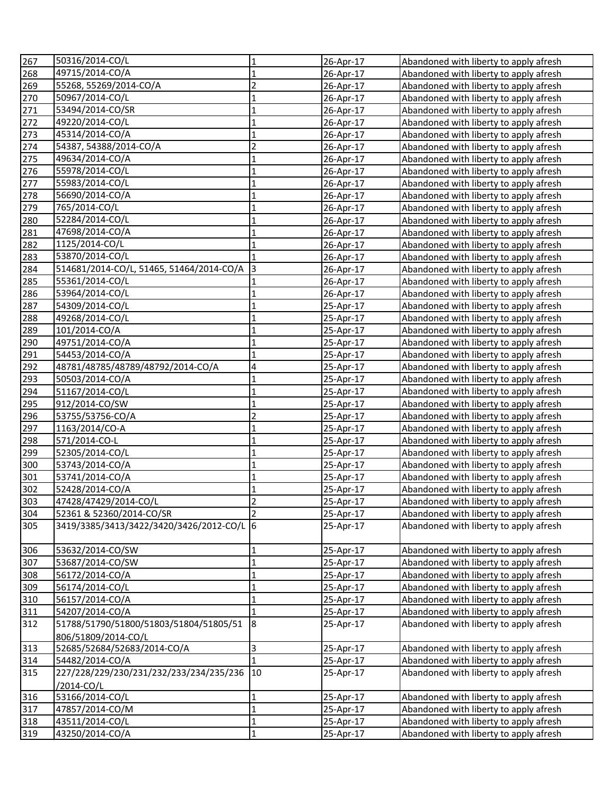| 267 | 50316/2014-CO/L                           | 1              | 26-Apr-17 | Abandoned with liberty to apply afresh |
|-----|-------------------------------------------|----------------|-----------|----------------------------------------|
| 268 | 49715/2014-CO/A                           | $\mathbf 1$    | 26-Apr-17 | Abandoned with liberty to apply afresh |
| 269 | 55268, 55269/2014-CO/A                    | $\overline{2}$ | 26-Apr-17 | Abandoned with liberty to apply afresh |
| 270 | 50967/2014-CO/L                           | $\mathbf{1}$   | 26-Apr-17 | Abandoned with liberty to apply afresh |
| 271 | 53494/2014-CO/SR                          | $\mathbf{1}$   | 26-Apr-17 | Abandoned with liberty to apply afresh |
| 272 | 49220/2014-CO/L                           | $\mathbf 1$    | 26-Apr-17 | Abandoned with liberty to apply afresh |
| 273 | 45314/2014-CO/A                           | $\mathbf 1$    | 26-Apr-17 | Abandoned with liberty to apply afresh |
| 274 | 54387, 54388/2014-CO/A                    | $\overline{2}$ | 26-Apr-17 | Abandoned with liberty to apply afresh |
| 275 | 49634/2014-CO/A                           | $\mathbf{1}$   | 26-Apr-17 | Abandoned with liberty to apply afresh |
| 276 | 55978/2014-CO/L                           | $\mathbf{1}$   | 26-Apr-17 | Abandoned with liberty to apply afresh |
| 277 | 55983/2014-CO/L                           | $\mathbf{1}$   | 26-Apr-17 | Abandoned with liberty to apply afresh |
| 278 | 56690/2014-CO/A                           | $\mathbf{1}$   | 26-Apr-17 | Abandoned with liberty to apply afresh |
| 279 | 765/2014-CO/L                             | $\mathbf{1}$   | 26-Apr-17 | Abandoned with liberty to apply afresh |
| 280 | 52284/2014-CO/L                           | $\overline{1}$ | 26-Apr-17 | Abandoned with liberty to apply afresh |
| 281 | 47698/2014-CO/A                           | $\mathbf{1}$   | 26-Apr-17 | Abandoned with liberty to apply afresh |
| 282 | 1125/2014-CO/L                            | $\mathbf{1}$   | 26-Apr-17 | Abandoned with liberty to apply afresh |
| 283 | 53870/2014-CO/L                           |                | 26-Apr-17 | Abandoned with liberty to apply afresh |
| 284 | 514681/2014-CO/L, 51465, 51464/2014-CO/A  | $\vert$ 3      | 26-Apr-17 | Abandoned with liberty to apply afresh |
| 285 | 55361/2014-CO/L                           |                | 26-Apr-17 | Abandoned with liberty to apply afresh |
| 286 | 53964/2014-CO/L                           | $\mathbf{1}$   | 26-Apr-17 | Abandoned with liberty to apply afresh |
| 287 | 54309/2014-CO/L                           | $\overline{1}$ | 25-Apr-17 | Abandoned with liberty to apply afresh |
| 288 | 49268/2014-CO/L                           | $\mathbf{1}$   | 25-Apr-17 | Abandoned with liberty to apply afresh |
| 289 | 101/2014-CO/A                             | $\mathbf{1}$   | 25-Apr-17 | Abandoned with liberty to apply afresh |
| 290 | 49751/2014-CO/A                           | $\mathbf{1}$   | 25-Apr-17 | Abandoned with liberty to apply afresh |
| 291 | 54453/2014-CO/A                           | $\mathbf{1}$   | 25-Apr-17 | Abandoned with liberty to apply afresh |
| 292 | 48781/48785/48789/48792/2014-CO/A         | 4              | 25-Apr-17 | Abandoned with liberty to apply afresh |
| 293 | 50503/2014-CO/A                           | $\mathbf{1}$   | 25-Apr-17 | Abandoned with liberty to apply afresh |
| 294 | 51167/2014-CO/L                           | $\mathbf{1}$   | 25-Apr-17 | Abandoned with liberty to apply afresh |
| 295 | 912/2014-CO/SW                            | $\mathbf{1}$   | 25-Apr-17 | Abandoned with liberty to apply afresh |
| 296 | 53755/53756-CO/A                          | $\overline{2}$ | 25-Apr-17 | Abandoned with liberty to apply afresh |
| 297 | 1163/2014/CO-A                            | $\mathbf{1}$   | 25-Apr-17 | Abandoned with liberty to apply afresh |
| 298 | 571/2014-CO-L                             | $\mathbf{1}$   | 25-Apr-17 | Abandoned with liberty to apply afresh |
| 299 | 52305/2014-CO/L                           | $\mathbf{1}$   | 25-Apr-17 | Abandoned with liberty to apply afresh |
| 300 | 53743/2014-CO/A                           | 1              | 25-Apr-17 | Abandoned with liberty to apply afresh |
| 301 | 53741/2014-CO/A                           | $\mathbf 1$    | 25-Apr-17 | Abandoned with liberty to apply afresh |
| 302 | 52428/2014-CO/A                           | $\mathbf{1}$   | 25-Apr-17 | Abandoned with liberty to apply afresh |
| 303 | 47428/47429/2014-CO/L                     | $\overline{2}$ | 25-Apr-17 | Abandoned with liberty to apply afresh |
| 304 | 52361 & 52360/2014-CO/SR                  | $\overline{2}$ | 25-Apr-17 | Abandoned with liberty to apply afresh |
| 305 | 3419/3385/3413/3422/3420/3426/2012-CO/L 6 |                | 25-Apr-17 | Abandoned with liberty to apply afresh |
| 306 | 53632/2014-CO/SW                          | 1              | 25-Apr-17 | Abandoned with liberty to apply afresh |
| 307 | 53687/2014-CO/SW                          | $\mathbf 1$    | 25-Apr-17 | Abandoned with liberty to apply afresh |
| 308 | 56172/2014-CO/A                           | $\mathbf{1}$   | 25-Apr-17 | Abandoned with liberty to apply afresh |
| 309 | 56174/2014-CO/L                           | $\mathbf 1$    | 25-Apr-17 | Abandoned with liberty to apply afresh |
| 310 | 56157/2014-CO/A                           | $\overline{1}$ | 25-Apr-17 | Abandoned with liberty to apply afresh |
| 311 | 54207/2014-CO/A                           | $\mathbf 1$    | 25-Apr-17 | Abandoned with liberty to apply afresh |
| 312 | 51788/51790/51800/51803/51804/51805/51    | 8              | 25-Apr-17 | Abandoned with liberty to apply afresh |
|     | 806/51809/2014-CO/L                       |                |           |                                        |
| 313 | 52685/52684/52683/2014-CO/A               | 3              | 25-Apr-17 | Abandoned with liberty to apply afresh |
| 314 | 54482/2014-CO/A                           | 1              | 25-Apr-17 | Abandoned with liberty to apply afresh |
| 315 | 227/228/229/230/231/232/233/234/235/236   | 10             | 25-Apr-17 | Abandoned with liberty to apply afresh |
|     | /2014-CO/L                                |                |           |                                        |
| 316 | 53166/2014-CO/L                           | $\mathbf 1$    | 25-Apr-17 | Abandoned with liberty to apply afresh |
| 317 | 47857/2014-CO/M                           | $\mathbf 1$    | 25-Apr-17 | Abandoned with liberty to apply afresh |
| 318 | 43511/2014-CO/L                           | $\mathbf{1}$   | 25-Apr-17 | Abandoned with liberty to apply afresh |
| 319 | 43250/2014-CO/A                           | $\mathbf 1$    | 25-Apr-17 | Abandoned with liberty to apply afresh |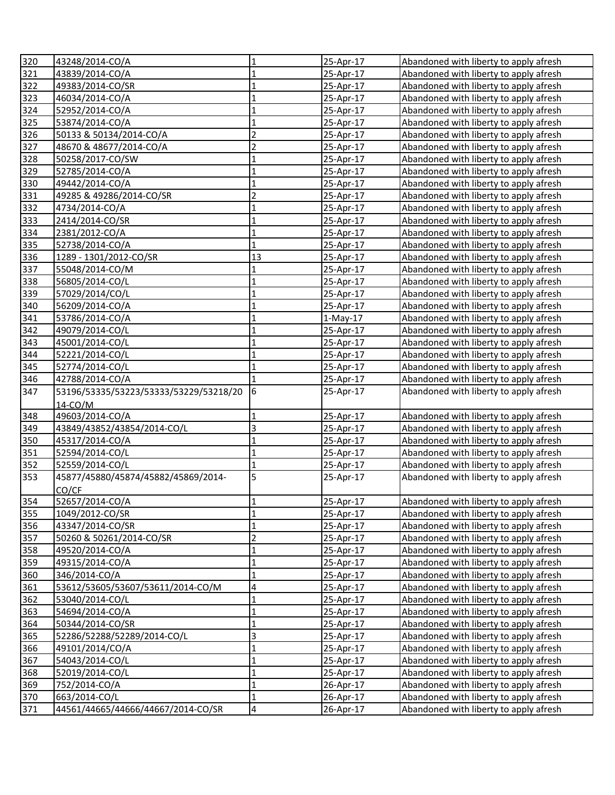| 320        | 43248/2014-CO/A                                     | 1                                      | 25-Apr-17              | Abandoned with liberty to apply afresh                                           |
|------------|-----------------------------------------------------|----------------------------------------|------------------------|----------------------------------------------------------------------------------|
| 321        | 43839/2014-CO/A                                     | $\mathbf 1$                            | 25-Apr-17              | Abandoned with liberty to apply afresh                                           |
| 322        | 49383/2014-CO/SR                                    | $\mathbf 1$                            | 25-Apr-17              | Abandoned with liberty to apply afresh                                           |
| 323        | 46034/2014-CO/A                                     | $\mathbf{1}$                           | 25-Apr-17              | Abandoned with liberty to apply afresh                                           |
| 324        | 52952/2014-CO/A                                     | $\mathbf 1$                            | 25-Apr-17              | Abandoned with liberty to apply afresh                                           |
| 325        | 53874/2014-CO/A                                     | $\mathbf 1$                            | 25-Apr-17              | Abandoned with liberty to apply afresh                                           |
| 326        | 50133 & 50134/2014-CO/A                             | $\overline{2}$                         | 25-Apr-17              | Abandoned with liberty to apply afresh                                           |
| 327        | 48670 & 48677/2014-CO/A                             | $\overline{2}$                         | 25-Apr-17              | Abandoned with liberty to apply afresh                                           |
| 328        | 50258/2017-CO/SW                                    | $\mathbf 1$                            | 25-Apr-17              | Abandoned with liberty to apply afresh                                           |
| 329        | 52785/2014-CO/A                                     | $\mathbf 1$                            | 25-Apr-17              | Abandoned with liberty to apply afresh                                           |
| 330        | 49442/2014-CO/A                                     | $\mathbf 1$                            | 25-Apr-17              | Abandoned with liberty to apply afresh                                           |
| 331        | 49285 & 49286/2014-CO/SR                            | $\overline{2}$                         | 25-Apr-17              | Abandoned with liberty to apply afresh                                           |
| 332        | 4734/2014-CO/A                                      | $\mathbf{1}$                           | 25-Apr-17              | Abandoned with liberty to apply afresh                                           |
| 333        | 2414/2014-CO/SR                                     | $\mathbf{1}$                           | 25-Apr-17              | Abandoned with liberty to apply afresh                                           |
| 334        | 2381/2012-CO/A                                      | $\mathbf{1}$                           | 25-Apr-17              | Abandoned with liberty to apply afresh                                           |
| 335        | 52738/2014-CO/A                                     | $\mathbf{1}$                           | 25-Apr-17              | Abandoned with liberty to apply afresh                                           |
| 336        | 1289 - 1301/2012-CO/SR                              | 13                                     | 25-Apr-17              | Abandoned with liberty to apply afresh                                           |
| 337        | 55048/2014-CO/M                                     | 1                                      | 25-Apr-17              | Abandoned with liberty to apply afresh                                           |
| 338        | 56805/2014-CO/L                                     | 1                                      | 25-Apr-17              | Abandoned with liberty to apply afresh                                           |
| 339        | 57029/2014/CO/L                                     | $\overline{1}$                         | 25-Apr-17              | Abandoned with liberty to apply afresh                                           |
| 340        | 56209/2014-CO/A                                     | $\mathbf{1}$                           | 25-Apr-17              | Abandoned with liberty to apply afresh                                           |
| 341        | 53786/2014-CO/A                                     | $\mathbf{1}$                           | $1-May-17$             | Abandoned with liberty to apply afresh                                           |
| 342        | 49079/2014-CO/L                                     | $\mathbf{1}$                           | 25-Apr-17              | Abandoned with liberty to apply afresh                                           |
| 343        | 45001/2014-CO/L                                     | $\mathbf{1}$                           | 25-Apr-17              | Abandoned with liberty to apply afresh                                           |
| 344        | 52221/2014-CO/L                                     | $\mathbf{1}$                           | 25-Apr-17              | Abandoned with liberty to apply afresh                                           |
| 345        | 52774/2014-CO/L                                     | $\mathbf{1}$                           | 25-Apr-17              | Abandoned with liberty to apply afresh                                           |
| 346        | 42788/2014-CO/A                                     | $\mathbf{1}$                           | 25-Apr-17              | Abandoned with liberty to apply afresh                                           |
| 347        | 53196/53335/53223/53333/53229/53218/20              | $\overline{6}$                         | 25-Apr-17              | Abandoned with liberty to apply afresh                                           |
|            | 14-CO/M                                             |                                        |                        |                                                                                  |
| 348        | 49603/2014-CO/A                                     | $\mathbf{1}$                           | 25-Apr-17              | Abandoned with liberty to apply afresh                                           |
| 349        | 43849/43852/43854/2014-CO/L                         | 3                                      | 25-Apr-17              | Abandoned with liberty to apply afresh                                           |
| 350        | 45317/2014-CO/A                                     | $\mathbf{1}$                           | 25-Apr-17              | Abandoned with liberty to apply afresh                                           |
| 351        | 52594/2014-CO/L                                     | $\mathbf{1}$                           | 25-Apr-17              | Abandoned with liberty to apply afresh                                           |
| 352        | 52559/2014-CO/L                                     | $\overline{1}$<br>5                    | 25-Apr-17              | Abandoned with liberty to apply afresh                                           |
| 353        | 45877/45880/45874/45882/45869/2014-                 |                                        | 25-Apr-17              | Abandoned with liberty to apply afresh                                           |
| 354        | CO/CF                                               |                                        |                        |                                                                                  |
|            | 52657/2014-CO/A                                     | $\overline{1}$                         | 25-Apr-17              | Abandoned with liberty to apply afresh                                           |
| 355        | 1049/2012-CO/SR                                     | $\mathbf{1}$                           | 25-Apr-17              | Abandoned with liberty to apply afresh                                           |
| 356        | 43347/2014-CO/SR                                    | $\mathbf 1$                            | 25-Apr-17              | Abandoned with liberty to apply afresh                                           |
| 357        | 50260 & 50261/2014-CO/SR                            | $\overline{\mathbf{c}}$                | 25-Apr-17              | Abandoned with liberty to apply afresh                                           |
| 358        | 49520/2014-CO/A                                     | $\mathbf 1$                            | 25-Apr-17              | Abandoned with liberty to apply afresh                                           |
| 359        | 49315/2014-CO/A                                     | $\mathbf 1$                            | 25-Apr-17              | Abandoned with liberty to apply afresh                                           |
| 360        | 346/2014-CO/A                                       | $\mathbf 1$                            | 25-Apr-17              | Abandoned with liberty to apply afresh                                           |
| 361        | 53612/53605/53607/53611/2014-CO/M                   | 4<br>$\mathbf 1$                       | 25-Apr-17              | Abandoned with liberty to apply afresh                                           |
| 362        | 53040/2014-CO/L                                     | $\overline{1}$                         | 25-Apr-17              | Abandoned with liberty to apply afresh                                           |
| 363        | 54694/2014-CO/A                                     | $\overline{1}$                         | 25-Apr-17<br>25-Apr-17 | Abandoned with liberty to apply afresh                                           |
| 364        | 50344/2014-CO/SR                                    |                                        |                        | Abandoned with liberty to apply afresh                                           |
| 365        | 52286/52288/52289/2014-CO/L                         | $\overline{\mathbf{3}}$                | 25-Apr-17              | Abandoned with liberty to apply afresh                                           |
| 366        |                                                     |                                        |                        |                                                                                  |
|            | 49101/2014/CO/A                                     | $\mathbf{1}$                           | 25-Apr-17              | Abandoned with liberty to apply afresh                                           |
| 367        | 54043/2014-CO/L                                     | $\mathbf{1}$                           | 25-Apr-17              | Abandoned with liberty to apply afresh                                           |
| 368        | 52019/2014-CO/L                                     | $\mathbf{1}$                           | 25-Apr-17              | Abandoned with liberty to apply afresh                                           |
| 369        | 752/2014-CO/A                                       | $\mathbf 1$                            | 26-Apr-17              | Abandoned with liberty to apply afresh                                           |
| 370<br>371 | 663/2014-CO/L<br>44561/44665/44666/44667/2014-CO/SR | $\mathbf 1$<br>$\overline{\mathbf{4}}$ | 26-Apr-17<br>26-Apr-17 | Abandoned with liberty to apply afresh<br>Abandoned with liberty to apply afresh |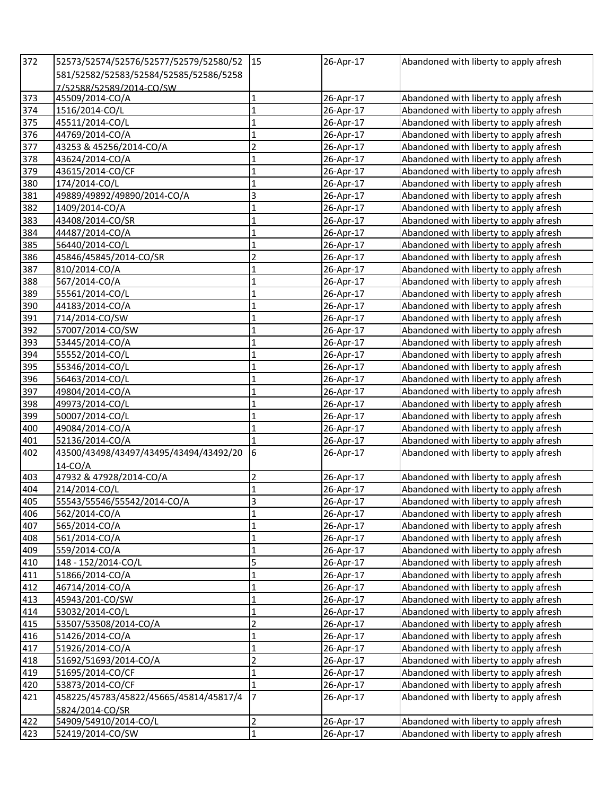| 372   | 52573/52574/52576/52577/52579/52580/52 | <sup>15</sup>           | 26-Apr-17 | Abandoned with liberty to apply afresh |
|-------|----------------------------------------|-------------------------|-----------|----------------------------------------|
|       | 581/52582/52583/52584/52585/52586/5258 |                         |           |                                        |
|       | 7/52588/52589/2014-CO/SW               |                         |           |                                        |
| 373   | 45509/2014-CO/A                        | $\mathbf 1$             | 26-Apr-17 | Abandoned with liberty to apply afresh |
| 374   | 1516/2014-CO/L                         | $\mathbf 1$             | 26-Apr-17 | Abandoned with liberty to apply afresh |
| 375   | 45511/2014-CO/L                        | $\mathbf 1$             | 26-Apr-17 | Abandoned with liberty to apply afresh |
| 376   | 44769/2014-CO/A                        | $\mathbf{1}$            | 26-Apr-17 | Abandoned with liberty to apply afresh |
| 377   | 43253 & 45256/2014-CO/A                | $\overline{2}$          | 26-Apr-17 | Abandoned with liberty to apply afresh |
| 378   | 43624/2014-CO/A                        | $\overline{1}$          | 26-Apr-17 | Abandoned with liberty to apply afresh |
| 379   | 43615/2014-CO/CF                       | $\overline{1}$          | 26-Apr-17 | Abandoned with liberty to apply afresh |
| 380   | 174/2014-CO/L                          | $\mathbf{1}$            | 26-Apr-17 | Abandoned with liberty to apply afresh |
| 381   | 49889/49892/49890/2014-CO/A            | $\overline{3}$          | 26-Apr-17 | Abandoned with liberty to apply afresh |
| 382   | 1409/2014-CO/A                         | $\mathbf 1$             | 26-Apr-17 | Abandoned with liberty to apply afresh |
| 383   | 43408/2014-CO/SR                       | $\overline{1}$          | 26-Apr-17 | Abandoned with liberty to apply afresh |
| 384   | 44487/2014-CO/A                        | $\overline{1}$          | 26-Apr-17 | Abandoned with liberty to apply afresh |
| 385   | 56440/2014-CO/L                        | $\mathbf{1}$            | 26-Apr-17 | Abandoned with liberty to apply afresh |
| 386   | 45846/45845/2014-CO/SR                 | $\overline{c}$          | 26-Apr-17 | Abandoned with liberty to apply afresh |
| 387   | 810/2014-CO/A                          | $\overline{1}$          | 26-Apr-17 | Abandoned with liberty to apply afresh |
| 388   | 567/2014-CO/A                          | $\mathbf{1}$            | 26-Apr-17 | Abandoned with liberty to apply afresh |
| 389   | 55561/2014-CO/L                        | $\mathbf{1}$            | 26-Apr-17 | Abandoned with liberty to apply afresh |
| 390   | 44183/2014-CO/A                        | $\mathbf{1}$            | 26-Apr-17 | Abandoned with liberty to apply afresh |
| 391   | 714/2014-CO/SW                         | $\mathbf{1}$            | 26-Apr-17 | Abandoned with liberty to apply afresh |
| 392   | 57007/2014-CO/SW                       | 1                       | 26-Apr-17 | Abandoned with liberty to apply afresh |
| $393$ | 53445/2014-CO/A                        | $\mathbf{1}$            | 26-Apr-17 | Abandoned with liberty to apply afresh |
| 394   | 55552/2014-CO/L                        | $\mathbf{1}$            | 26-Apr-17 | Abandoned with liberty to apply afresh |
| 395   | 55346/2014-CO/L                        | $\mathbf{1}$            | 26-Apr-17 | Abandoned with liberty to apply afresh |
| 396   | 56463/2014-CO/L                        | $\mathbf{1}$            | 26-Apr-17 | Abandoned with liberty to apply afresh |
| 397   | 49804/2014-CO/A                        | $\mathbf{1}$            | 26-Apr-17 | Abandoned with liberty to apply afresh |
| 398   | 49973/2014-CO/L                        | $\mathbf 1$             | 26-Apr-17 | Abandoned with liberty to apply afresh |
| 399   | 50007/2014-CO/L                        | $\mathbf 1$             | 26-Apr-17 | Abandoned with liberty to apply afresh |
| 400   | 49084/2014-CO/A                        | $\mathbf 1$             | 26-Apr-17 | Abandoned with liberty to apply afresh |
| 401   | 52136/2014-CO/A                        | $\mathbf{1}$            | 26-Apr-17 | Abandoned with liberty to apply afresh |
| 402   | 43500/43498/43497/43495/43494/43492/20 | 6                       | 26-Apr-17 | Abandoned with liberty to apply afresh |
|       | $14$ -CO/A                             |                         |           |                                        |
| 403   | 47932 & 47928/2014-CO/A                | $\overline{2}$          | 26-Apr-17 | Abandoned with liberty to apply afresh |
| 404   | 214/2014-CO/L                          | $\mathbf{1}$            | 26-Apr-17 | Abandoned with liberty to apply afresh |
| 405   | 55543/55546/55542/2014-CO/A            | $\overline{3}$          | 26-Apr-17 | Abandoned with liberty to apply afresh |
| 406   | 562/2014-CO/A                          | 1                       | 26-Apr-17 | Abandoned with liberty to apply afresh |
| 407   | 565/2014-CO/A                          | $\mathbf 1$             | 26-Apr-17 | Abandoned with liberty to apply afresh |
| 408   | 561/2014-CO/A                          | $\mathbf 1$             | 26-Apr-17 | Abandoned with liberty to apply afresh |
| 409   | 559/2014-CO/A                          | $\mathbf 1$             | 26-Apr-17 | Abandoned with liberty to apply afresh |
| 410   | 148 - 152/2014-CO/L                    | 5                       | 26-Apr-17 | Abandoned with liberty to apply afresh |
| 411   | 51866/2014-CO/A                        | $\mathbf{1}$            | 26-Apr-17 | Abandoned with liberty to apply afresh |
| 412   | 46714/2014-CO/A                        | $\overline{1}$          | 26-Apr-17 | Abandoned with liberty to apply afresh |
| 413   | 45943/201-CO/SW                        | $\overline{1}$          | 26-Apr-17 | Abandoned with liberty to apply afresh |
| 414   | 53032/2014-CO/L                        | $\overline{1}$          | 26-Apr-17 | Abandoned with liberty to apply afresh |
| 415   | 53507/53508/2014-CO/A                  | $\overline{2}$          | 26-Apr-17 | Abandoned with liberty to apply afresh |
| 416   | 51426/2014-CO/A                        | $\mathbf 1$             | 26-Apr-17 | Abandoned with liberty to apply afresh |
| 417   | 51926/2014-CO/A                        | $\mathbf 1$             | 26-Apr-17 | Abandoned with liberty to apply afresh |
| 418   | 51692/51693/2014-CO/A                  | $\overline{\mathbf{c}}$ | 26-Apr-17 | Abandoned with liberty to apply afresh |
| 419   | 51695/2014-CO/CF                       | $\mathbf{1}$            | 26-Apr-17 | Abandoned with liberty to apply afresh |
| 420   | 53873/2014-CO/CF                       | $\mathbf{1}$            | 26-Apr-17 | Abandoned with liberty to apply afresh |
| 421   | 458225/45783/45822/45665/45814/45817/4 | $\overline{7}$          | 26-Apr-17 | Abandoned with liberty to apply afresh |
|       | 5824/2014-CO/SR                        |                         |           |                                        |
| 422   | 54909/54910/2014-CO/L                  | $\overline{2}$          | 26-Apr-17 | Abandoned with liberty to apply afresh |
| 423   | 52419/2014-CO/SW                       | $\mathbf 1$             | 26-Apr-17 | Abandoned with liberty to apply afresh |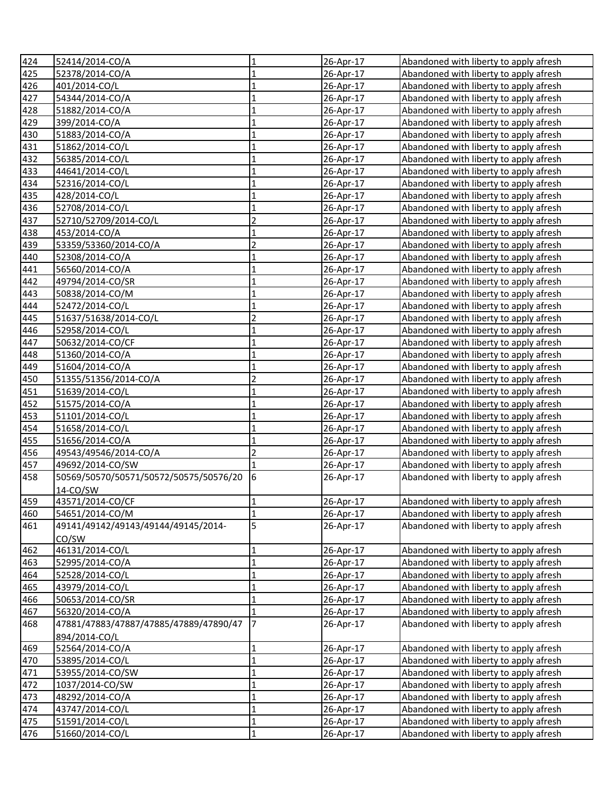| 424 | 52414/2014-CO/A                        | 1              | 26-Apr-17 | Abandoned with liberty to apply afresh |
|-----|----------------------------------------|----------------|-----------|----------------------------------------|
| 425 | 52378/2014-CO/A                        | $\mathbf{1}$   | 26-Apr-17 | Abandoned with liberty to apply afresh |
| 426 | 401/2014-CO/L                          | $\mathbf{1}$   | 26-Apr-17 | Abandoned with liberty to apply afresh |
| 427 | 54344/2014-CO/A                        | $\mathbf{1}$   | 26-Apr-17 | Abandoned with liberty to apply afresh |
| 428 | 51882/2014-CO/A                        | $\mathbf 1$    | 26-Apr-17 | Abandoned with liberty to apply afresh |
| 429 | 399/2014-CO/A                          | $\mathbf{1}$   | 26-Apr-17 | Abandoned with liberty to apply afresh |
| 430 | 51883/2014-CO/A                        | $\mathbf{1}$   | 26-Apr-17 | Abandoned with liberty to apply afresh |
| 431 | 51862/2014-CO/L                        | $\mathbf 1$    | 26-Apr-17 | Abandoned with liberty to apply afresh |
| 432 | 56385/2014-CO/L                        | $\mathbf{1}$   | 26-Apr-17 | Abandoned with liberty to apply afresh |
| 433 | 44641/2014-CO/L                        | $\mathbf{1}$   | 26-Apr-17 | Abandoned with liberty to apply afresh |
| 434 | 52316/2014-CO/L                        | $\mathbf{1}$   | 26-Apr-17 | Abandoned with liberty to apply afresh |
| 435 | 428/2014-CO/L                          | $\mathbf{1}$   | 26-Apr-17 | Abandoned with liberty to apply afresh |
| 436 | 52708/2014-CO/L                        | $\overline{1}$ | 26-Apr-17 | Abandoned with liberty to apply afresh |
| 437 | 52710/52709/2014-CO/L                  | $\overline{2}$ | 26-Apr-17 | Abandoned with liberty to apply afresh |
| 438 | 453/2014-CO/A                          | $\mathbf{1}$   | 26-Apr-17 | Abandoned with liberty to apply afresh |
| 439 | 53359/53360/2014-CO/A                  | $\overline{2}$ | 26-Apr-17 | Abandoned with liberty to apply afresh |
| 440 | 52308/2014-CO/A                        | 1              | 26-Apr-17 | Abandoned with liberty to apply afresh |
| 441 | 56560/2014-CO/A                        | $\overline{1}$ | 26-Apr-17 | Abandoned with liberty to apply afresh |
| 442 | 49794/2014-CO/SR                       | 1              | 26-Apr-17 | Abandoned with liberty to apply afresh |
| 443 | 50838/2014-CO/M                        | $\overline{1}$ | 26-Apr-17 | Abandoned with liberty to apply afresh |
| 444 | 52472/2014-CO/L                        | $\mathbf{1}$   | 26-Apr-17 | Abandoned with liberty to apply afresh |
| 445 | 51637/51638/2014-CO/L                  | $\overline{c}$ | 26-Apr-17 | Abandoned with liberty to apply afresh |
| 446 | 52958/2014-CO/L                        | $\mathbf{1}$   | 26-Apr-17 | Abandoned with liberty to apply afresh |
| 447 | 50632/2014-CO/CF                       | $\mathbf{1}$   | 26-Apr-17 | Abandoned with liberty to apply afresh |
| 448 | 51360/2014-CO/A                        | 1              | 26-Apr-17 | Abandoned with liberty to apply afresh |
| 449 | 51604/2014-CO/A                        | $\mathbf{1}$   | 26-Apr-17 | Abandoned with liberty to apply afresh |
| 450 | 51355/51356/2014-CO/A                  | $\overline{2}$ | 26-Apr-17 | Abandoned with liberty to apply afresh |
| 451 | 51639/2014-CO/L                        | $\mathbf{1}$   | 26-Apr-17 | Abandoned with liberty to apply afresh |
| 452 | 51575/2014-CO/A                        | $\mathbf{1}$   | 26-Apr-17 | Abandoned with liberty to apply afresh |
| 453 | 51101/2014-CO/L                        | $\mathbf{1}$   | 26-Apr-17 | Abandoned with liberty to apply afresh |
| 454 | 51658/2014-CO/L                        | $\overline{1}$ | 26-Apr-17 | Abandoned with liberty to apply afresh |
| 455 | 51656/2014-CO/A                        | $\mathbf{1}$   | 26-Apr-17 | Abandoned with liberty to apply afresh |
| 456 | 49543/49546/2014-CO/A                  | $\overline{2}$ | 26-Apr-17 | Abandoned with liberty to apply afresh |
| 457 | 49692/2014-CO/SW                       |                | 26-Apr-17 | Abandoned with liberty to apply afresh |
| 458 | 50569/50570/50571/50572/50575/50576/20 | 6              | 26-Apr-17 | Abandoned with liberty to apply afresh |
|     | 14-CO/SW                               |                |           |                                        |
| 459 | 43571/2014-CO/CF                       | $\mathbf{1}$   | 26-Apr-17 | Abandoned with liberty to apply afresh |
| 460 | 54651/2014-CO/M                        | $\mathbf{1}$   | 26-Apr-17 | Abandoned with liberty to apply afresh |
| 461 | 49141/49142/49143/49144/49145/2014-    | 5              | 26-Apr-17 | Abandoned with liberty to apply afresh |
|     | CO/SW                                  |                |           |                                        |
| 462 | 46131/2014-CO/L                        | $\mathbf 1$    | 26-Apr-17 | Abandoned with liberty to apply afresh |
| 463 | 52995/2014-CO/A                        | $\mathbf{1}$   | 26-Apr-17 | Abandoned with liberty to apply afresh |
| 464 | 52528/2014-CO/L                        | $\mathbf{1}$   | 26-Apr-17 | Abandoned with liberty to apply afresh |
| 465 | 43979/2014-CO/L                        | $\mathbf 1$    | 26-Apr-17 | Abandoned with liberty to apply afresh |
| 466 | 50653/2014-CO/SR                       | $\mathbf{1}$   | 26-Apr-17 | Abandoned with liberty to apply afresh |
| 467 | 56320/2014-CO/A                        | $\mathbf{1}$   | 26-Apr-17 | Abandoned with liberty to apply afresh |
| 468 | 47881/47883/47887/47885/47889/47890/47 | $\overline{7}$ | 26-Apr-17 | Abandoned with liberty to apply afresh |
|     | 894/2014-CO/L                          |                |           |                                        |
| 469 | 52564/2014-CO/A                        | $\mathbf{1}$   | 26-Apr-17 | Abandoned with liberty to apply afresh |
| 470 | 53895/2014-CO/L                        | $\overline{1}$ | 26-Apr-17 | Abandoned with liberty to apply afresh |
| 471 | 53955/2014-CO/SW                       | $\mathbf{1}$   | 26-Apr-17 | Abandoned with liberty to apply afresh |
| 472 | 1037/2014-CO/SW                        | $\mathbf{1}$   | 26-Apr-17 | Abandoned with liberty to apply afresh |
| 473 | 48292/2014-CO/A                        | $\mathbf{1}$   | 26-Apr-17 | Abandoned with liberty to apply afresh |
| 474 | 43747/2014-CO/L                        | $\mathbf{1}$   | 26-Apr-17 | Abandoned with liberty to apply afresh |
| 475 | 51591/2014-CO/L                        | 1              | 26-Apr-17 | Abandoned with liberty to apply afresh |
| 476 | 51660/2014-CO/L                        | $\mathbf 1$    | 26-Apr-17 | Abandoned with liberty to apply afresh |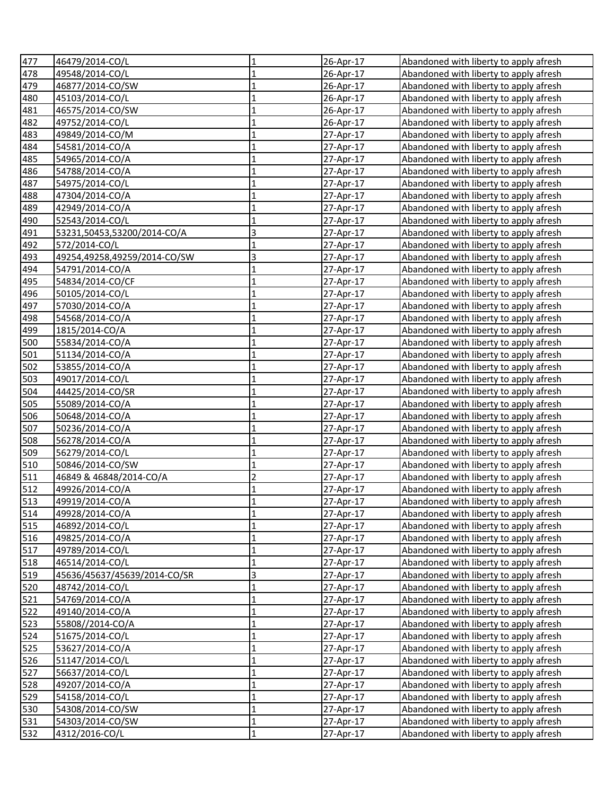| 477 | 46479/2014-CO/L              | 1              | 26-Apr-17 | Abandoned with liberty to apply afresh |
|-----|------------------------------|----------------|-----------|----------------------------------------|
| 478 | 49548/2014-CO/L              | $\mathbf 1$    | 26-Apr-17 | Abandoned with liberty to apply afresh |
| 479 | 46877/2014-CO/SW             | $\mathbf 1$    | 26-Apr-17 | Abandoned with liberty to apply afresh |
| 480 | 45103/2014-CO/L              | $\mathbf{1}$   | 26-Apr-17 | Abandoned with liberty to apply afresh |
| 481 | 46575/2014-CO/SW             | $\mathbf 1$    | 26-Apr-17 | Abandoned with liberty to apply afresh |
| 482 | 49752/2014-CO/L              | $\mathbf 1$    | 26-Apr-17 | Abandoned with liberty to apply afresh |
| 483 | 49849/2014-CO/M              | $\mathbf 1$    | 27-Apr-17 | Abandoned with liberty to apply afresh |
| 484 | 54581/2014-CO/A              | $\mathbf 1$    | 27-Apr-17 | Abandoned with liberty to apply afresh |
| 485 | 54965/2014-CO/A              | $\mathbf 1$    | 27-Apr-17 | Abandoned with liberty to apply afresh |
| 486 | 54788/2014-CO/A              | $\mathbf{1}$   | 27-Apr-17 | Abandoned with liberty to apply afresh |
| 487 | 54975/2014-CO/L              | $\mathbf 1$    | 27-Apr-17 | Abandoned with liberty to apply afresh |
| 488 | 47304/2014-CO/A              | $\mathbf{1}$   | 27-Apr-17 | Abandoned with liberty to apply afresh |
| 489 | 42949/2014-CO/A              | $\mathbf{1}$   | 27-Apr-17 | Abandoned with liberty to apply afresh |
| 490 | 52543/2014-CO/L              | $\overline{1}$ | 27-Apr-17 | Abandoned with liberty to apply afresh |
| 491 | 53231,50453,53200/2014-CO/A  | 3              | 27-Apr-17 | Abandoned with liberty to apply afresh |
| 492 | 572/2014-CO/L                | $\mathbf{1}$   | 27-Apr-17 | Abandoned with liberty to apply afresh |
| 493 | 49254,49258,49259/2014-CO/SW | 3              | 27-Apr-17 | Abandoned with liberty to apply afresh |
| 494 | 54791/2014-CO/A              | $\overline{1}$ | 27-Apr-17 | Abandoned with liberty to apply afresh |
| 495 | 54834/2014-CO/CF             | 1              | 27-Apr-17 | Abandoned with liberty to apply afresh |
| 496 | 50105/2014-CO/L              | $\overline{1}$ | 27-Apr-17 | Abandoned with liberty to apply afresh |
| 497 | 57030/2014-CO/A              | 1              | 27-Apr-17 | Abandoned with liberty to apply afresh |
| 498 | 54568/2014-CO/A              | 1              | 27-Apr-17 | Abandoned with liberty to apply afresh |
| 499 | 1815/2014-CO/A               | 1              | 27-Apr-17 | Abandoned with liberty to apply afresh |
| 500 | 55834/2014-CO/A              | 1              | 27-Apr-17 | Abandoned with liberty to apply afresh |
| 501 | 51134/2014-CO/A              | 1              | 27-Apr-17 | Abandoned with liberty to apply afresh |
| 502 | 53855/2014-CO/A              | 1              | 27-Apr-17 | Abandoned with liberty to apply afresh |
| 503 | 49017/2014-CO/L              | 1              | 27-Apr-17 | Abandoned with liberty to apply afresh |
| 504 | 44425/2014-CO/SR             | $\mathbf{1}$   | 27-Apr-17 | Abandoned with liberty to apply afresh |
| 505 | 55089/2014-CO/A              | $\mathbf{1}$   | 27-Apr-17 | Abandoned with liberty to apply afresh |
| 506 | 50648/2014-CO/A              | $\mathbf{1}$   | 27-Apr-17 | Abandoned with liberty to apply afresh |
| 507 | 50236/2014-CO/A              | $\mathbf{1}$   | 27-Apr-17 | Abandoned with liberty to apply afresh |
| 508 | 56278/2014-CO/A              | $\mathbf{1}$   | 27-Apr-17 | Abandoned with liberty to apply afresh |
| 509 | 56279/2014-CO/L              | $\mathbf 1$    | 27-Apr-17 | Abandoned with liberty to apply afresh |
| 510 | 50846/2014-CO/SW             | $\overline{1}$ | 27-Apr-17 | Abandoned with liberty to apply afresh |
| 511 | 46849 & 46848/2014-CO/A      | $\overline{c}$ | 27-Apr-17 | Abandoned with liberty to apply afresh |
| 512 | 49926/2014-CO/A              | $\mathbf{1}$   | 27-Apr-17 | Abandoned with liberty to apply afresh |
| 513 | 49919/2014-CO/A              | $\mathbf{1}$   | 27-Apr-17 | Abandoned with liberty to apply afresh |
| 514 | 49928/2014-CO/A              | 1              | 27-Apr-17 | Abandoned with liberty to apply afresh |
| 515 | 46892/2014-CO/L              | $\mathbf{1}$   | 27-Apr-17 | Abandoned with liberty to apply afresh |
| 516 | 49825/2014-CO/A              | $\mathbf 1$    | 27-Apr-17 | Abandoned with liberty to apply afresh |
| 517 | 49789/2014-CO/L              | $\mathbf{1}$   | 27-Apr-17 | Abandoned with liberty to apply afresh |
| 518 | 46514/2014-CO/L              | $\mathbf{1}$   | 27-Apr-17 | Abandoned with liberty to apply afresh |
| 519 | 45636/45637/45639/2014-CO/SR | $\mathsf 3$    | 27-Apr-17 | Abandoned with liberty to apply afresh |
| 520 | 48742/2014-CO/L              | $\mathbf{1}$   | 27-Apr-17 | Abandoned with liberty to apply afresh |
| 521 | 54769/2014-CO/A              | $\overline{1}$ | 27-Apr-17 | Abandoned with liberty to apply afresh |
| 522 | 49140/2014-CO/A              | $\mathbf{1}$   | 27-Apr-17 | Abandoned with liberty to apply afresh |
| 523 | 55808//2014-CO/A             | $\mathbf{1}$   | 27-Apr-17 | Abandoned with liberty to apply afresh |
| 524 | 51675/2014-CO/L              | $\mathbf{1}$   | 27-Apr-17 | Abandoned with liberty to apply afresh |
| 525 | 53627/2014-CO/A              | $\overline{1}$ | 27-Apr-17 | Abandoned with liberty to apply afresh |
| 526 | 51147/2014-CO/L              | $\overline{1}$ | 27-Apr-17 | Abandoned with liberty to apply afresh |
| 527 | 56637/2014-CO/L              | $\mathbf{1}$   | 27-Apr-17 | Abandoned with liberty to apply afresh |
| 528 | 49207/2014-CO/A              | $\mathbf{1}$   | 27-Apr-17 | Abandoned with liberty to apply afresh |
| 529 | 54158/2014-CO/L              | $\mathbf{1}$   | 27-Apr-17 | Abandoned with liberty to apply afresh |
| 530 | 54308/2014-CO/SW             | $\mathbf{1}$   | 27-Apr-17 | Abandoned with liberty to apply afresh |
| 531 | 54303/2014-CO/SW             | 1              | 27-Apr-17 | Abandoned with liberty to apply afresh |
| 532 | 4312/2016-CO/L               | $\mathbf 1$    | 27-Apr-17 | Abandoned with liberty to apply afresh |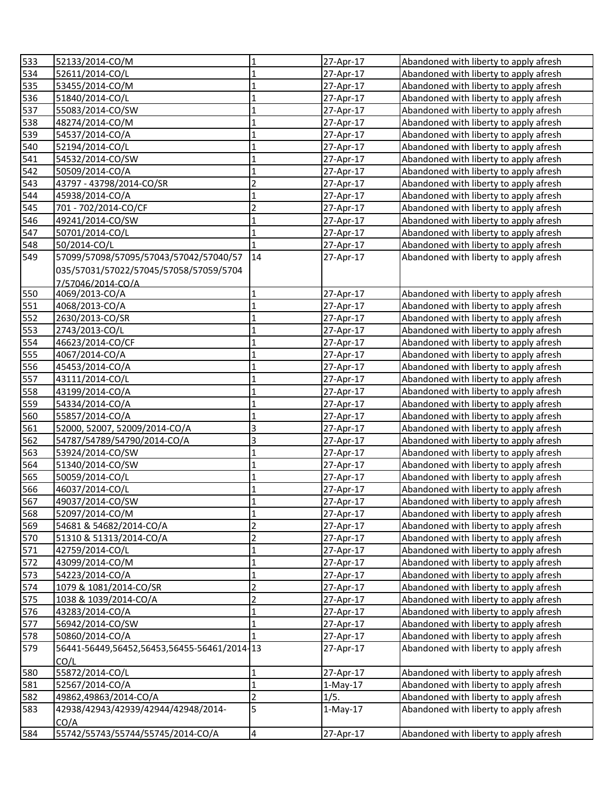| 533 | 52133/2014-CO/M                             | 1                       | 27-Apr-17  | Abandoned with liberty to apply afresh |
|-----|---------------------------------------------|-------------------------|------------|----------------------------------------|
| 534 | 52611/2014-CO/L                             | $\mathbf 1$             | 27-Apr-17  | Abandoned with liberty to apply afresh |
| 535 | 53455/2014-CO/M                             | $\mathbf 1$             | 27-Apr-17  | Abandoned with liberty to apply afresh |
| 536 | 51840/2014-CO/L                             | $\mathbf 1$             | 27-Apr-17  | Abandoned with liberty to apply afresh |
| 537 | 55083/2014-CO/SW                            | $\mathbf 1$             | 27-Apr-17  | Abandoned with liberty to apply afresh |
| 538 | 48274/2014-CO/M                             | $\mathbf 1$             | 27-Apr-17  | Abandoned with liberty to apply afresh |
| 539 | 54537/2014-CO/A                             | $\mathbf{1}$            | 27-Apr-17  | Abandoned with liberty to apply afresh |
| 540 | 52194/2014-CO/L                             | $\mathbf 1$             | 27-Apr-17  | Abandoned with liberty to apply afresh |
| 541 | 54532/2014-CO/SW                            | $\mathbf{1}$            | 27-Apr-17  | Abandoned with liberty to apply afresh |
| 542 | 50509/2014-CO/A                             | $\mathbf 1$             | 27-Apr-17  | Abandoned with liberty to apply afresh |
| 543 | 43797 - 43798/2014-CO/SR                    | $\overline{2}$          | 27-Apr-17  | Abandoned with liberty to apply afresh |
| 544 | 45938/2014-CO/A                             | $\mathbf{1}$            | 27-Apr-17  | Abandoned with liberty to apply afresh |
| 545 | 701 - 702/2014-CO/CF                        | $\overline{2}$          | 27-Apr-17  | Abandoned with liberty to apply afresh |
| 546 | 49241/2014-CO/SW                            | $\mathbf{1}$            | 27-Apr-17  | Abandoned with liberty to apply afresh |
| 547 | 50701/2014-CO/L                             | $\mathbf{1}$            | 27-Apr-17  | Abandoned with liberty to apply afresh |
| 548 | 50/2014-CO/L                                | 1                       | 27-Apr-17  | Abandoned with liberty to apply afresh |
| 549 | 57099/57098/57095/57043/57042/57040/57      | 14                      | 27-Apr-17  | Abandoned with liberty to apply afresh |
|     | 035/57031/57022/57045/57058/57059/5704      |                         |            |                                        |
|     | 7/57046/2014-CO/A                           |                         |            |                                        |
| 550 | 4069/2013-CO/A                              | $\mathbf{1}$            | 27-Apr-17  | Abandoned with liberty to apply afresh |
| 551 | 4068/2013-CO/A                              | $\mathbf{1}$            | 27-Apr-17  | Abandoned with liberty to apply afresh |
| 552 | 2630/2013-CO/SR                             | $\mathbf 1$             | 27-Apr-17  | Abandoned with liberty to apply afresh |
| 553 | 2743/2013-CO/L                              | $\mathbf{1}$            | 27-Apr-17  | Abandoned with liberty to apply afresh |
| 554 | 46623/2014-CO/CF                            | $\mathbf{1}$            | 27-Apr-17  | Abandoned with liberty to apply afresh |
| 555 | 4067/2014-CO/A                              | $\mathbf{1}$            | 27-Apr-17  | Abandoned with liberty to apply afresh |
| 556 | 45453/2014-CO/A                             | $\mathbf{1}$            | 27-Apr-17  | Abandoned with liberty to apply afresh |
| 557 | 43111/2014-CO/L                             | $\mathbf{1}$            | 27-Apr-17  | Abandoned with liberty to apply afresh |
| 558 | 43199/2014-CO/A                             | $\mathbf{1}$            | 27-Apr-17  | Abandoned with liberty to apply afresh |
| 559 | 54334/2014-CO/A                             | $\mathbf{1}$            | 27-Apr-17  | Abandoned with liberty to apply afresh |
| 560 | 55857/2014-CO/A                             | $\mathbf{1}$            | 27-Apr-17  | Abandoned with liberty to apply afresh |
| 561 | 52000, 52007, 52009/2014-CO/A               | 3                       | 27-Apr-17  | Abandoned with liberty to apply afresh |
| 562 | 54787/54789/54790/2014-CO/A                 | 3                       | 27-Apr-17  | Abandoned with liberty to apply afresh |
| 563 | 53924/2014-CO/SW                            | $\mathbf 1$             | 27-Apr-17  | Abandoned with liberty to apply afresh |
| 564 | 51340/2014-CO/SW                            | $\overline{1}$          | 27-Apr-17  | Abandoned with liberty to apply afresh |
| 565 | 50059/2014-CO/L                             | $\mathbf{1}$            | 27-Apr-17  | Abandoned with liberty to apply afresh |
| 566 | 46037/2014-CO/L                             | $\mathbf{1}$            | 27-Apr-17  | Abandoned with liberty to apply afresh |
| 567 | 49037/2014-CO/SW                            | $\mathbf{1}$            | 27-Apr-17  | Abandoned with liberty to apply afresh |
| 568 | 52097/2014-CO/M                             | 1                       | 27-Apr-17  | Abandoned with liberty to apply afresh |
| 569 | 54681 & 54682/2014-CO/A                     | $\overline{2}$          | 27-Apr-17  | Abandoned with liberty to apply afresh |
| 570 | 51310 & 51313/2014-CO/A                     | $\overline{2}$          | 27-Apr-17  | Abandoned with liberty to apply afresh |
| 571 | 42759/2014-CO/L                             | $\mathbf{1}$            | 27-Apr-17  | Abandoned with liberty to apply afresh |
| 572 | 43099/2014-CO/M                             | $\mathbf 1$             | 27-Apr-17  | Abandoned with liberty to apply afresh |
| 573 | 54223/2014-CO/A                             | $\mathbf 1$             | 27-Apr-17  | Abandoned with liberty to apply afresh |
| 574 | 1079 & 1081/2014-CO/SR                      | $\overline{2}$          | 27-Apr-17  | Abandoned with liberty to apply afresh |
| 575 | 1038 & 1039/2014-CO/A                       | $\overline{c}$          | 27-Apr-17  | Abandoned with liberty to apply afresh |
| 576 | 43283/2014-CO/A                             | $\mathbf{1}$            | 27-Apr-17  | Abandoned with liberty to apply afresh |
| 577 | 56942/2014-CO/SW                            | $\mathbf{1}$            | 27-Apr-17  | Abandoned with liberty to apply afresh |
| 578 | 50860/2014-CO/A                             |                         | 27-Apr-17  | Abandoned with liberty to apply afresh |
| 579 | 56441-56449,56452,56453,56455-56461/2014-13 |                         | 27-Apr-17  | Abandoned with liberty to apply afresh |
|     | CO/L                                        |                         |            |                                        |
| 580 | 55872/2014-CO/L                             | $\mathbf 1$             | 27-Apr-17  | Abandoned with liberty to apply afresh |
| 581 | 52567/2014-CO/A                             | $\mathbf{1}$            | $1-May-17$ | Abandoned with liberty to apply afresh |
| 582 | 49862,49863/2014-CO/A                       | $\overline{2}$          | 1/5.       | Abandoned with liberty to apply afresh |
| 583 | 42938/42943/42939/42944/42948/2014-         | 5                       | $1-May-17$ | Abandoned with liberty to apply afresh |
|     | CO/A                                        |                         |            |                                        |
| 584 | 55742/55743/55744/55745/2014-CO/A           | $\overline{\mathbf{4}}$ | 27-Apr-17  | Abandoned with liberty to apply afresh |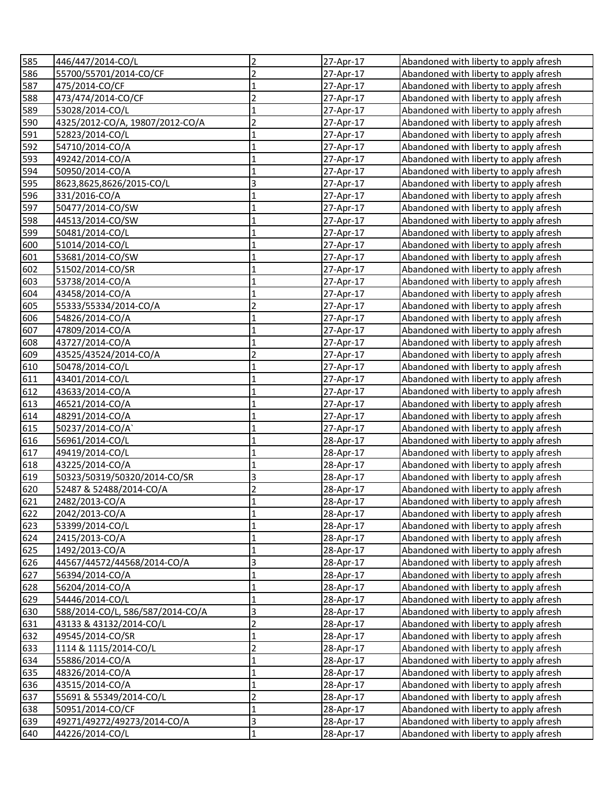| 585 | 446/447/2014-CO/L                | $\overline{2}$          | 27-Apr-17 | Abandoned with liberty to apply afresh |
|-----|----------------------------------|-------------------------|-----------|----------------------------------------|
| 586 | 55700/55701/2014-CO/CF           | $\overline{c}$          | 27-Apr-17 | Abandoned with liberty to apply afresh |
| 587 | 475/2014-CO/CF                   | $\mathbf 1$             | 27-Apr-17 | Abandoned with liberty to apply afresh |
| 588 | 473/474/2014-CO/CF               | $\overline{c}$          | 27-Apr-17 | Abandoned with liberty to apply afresh |
| 589 | 53028/2014-CO/L                  | $\mathbf{1}$            | 27-Apr-17 | Abandoned with liberty to apply afresh |
| 590 | 4325/2012-CO/A, 19807/2012-CO/A  | $\overline{2}$          | 27-Apr-17 | Abandoned with liberty to apply afresh |
| 591 | 52823/2014-CO/L                  | $\mathbf 1$             | 27-Apr-17 | Abandoned with liberty to apply afresh |
| 592 | 54710/2014-CO/A                  | $\mathbf 1$             | 27-Apr-17 | Abandoned with liberty to apply afresh |
| 593 | 49242/2014-CO/A                  | $\mathbf 1$             | 27-Apr-17 | Abandoned with liberty to apply afresh |
| 594 | 50950/2014-CO/A                  | $\mathbf 1$             | 27-Apr-17 | Abandoned with liberty to apply afresh |
| 595 | 8623,8625,8626/2015-CO/L         | 3                       | 27-Apr-17 | Abandoned with liberty to apply afresh |
| 596 | 331/2016-CO/A                    | $\mathbf{1}$            | 27-Apr-17 | Abandoned with liberty to apply afresh |
| 597 | 50477/2014-CO/SW                 | $\mathbf 1$             | 27-Apr-17 | Abandoned with liberty to apply afresh |
| 598 | 44513/2014-CO/SW                 | $\mathbf{1}$            | 27-Apr-17 | Abandoned with liberty to apply afresh |
| 599 | 50481/2014-CO/L                  | $\overline{1}$          | 27-Apr-17 | Abandoned with liberty to apply afresh |
| 600 | 51014/2014-CO/L                  | $\mathbf{1}$            | 27-Apr-17 | Abandoned with liberty to apply afresh |
| 601 | 53681/2014-CO/SW                 | $\mathbf{1}$            | 27-Apr-17 | Abandoned with liberty to apply afresh |
| 602 | 51502/2014-CO/SR                 | $\mathbf{1}$            | 27-Apr-17 | Abandoned with liberty to apply afresh |
| 603 | 53738/2014-CO/A                  | $\mathbf{1}$            | 27-Apr-17 | Abandoned with liberty to apply afresh |
| 604 | 43458/2014-CO/A                  | $\mathbf{1}$            | 27-Apr-17 | Abandoned with liberty to apply afresh |
| 605 | 55333/55334/2014-CO/A            | $\overline{2}$          | 27-Apr-17 | Abandoned with liberty to apply afresh |
| 606 | 54826/2014-CO/A                  | $\mathbf{1}$            | 27-Apr-17 | Abandoned with liberty to apply afresh |
| 607 | 47809/2014-CO/A                  | $\mathbf{1}$            | 27-Apr-17 | Abandoned with liberty to apply afresh |
| 608 | 43727/2014-CO/A                  | $\mathbf 1$             | 27-Apr-17 | Abandoned with liberty to apply afresh |
| 609 | 43525/43524/2014-CO/A            | $\overline{2}$          | 27-Apr-17 | Abandoned with liberty to apply afresh |
| 610 | 50478/2014-CO/L                  | $\mathbf 1$             | 27-Apr-17 | Abandoned with liberty to apply afresh |
| 611 | 43401/2014-CO/L                  | 1                       | 27-Apr-17 | Abandoned with liberty to apply afresh |
| 612 | 43633/2014-CO/A                  | 1                       | 27-Apr-17 | Abandoned with liberty to apply afresh |
| 613 | 46521/2014-CO/A                  | 1                       | 27-Apr-17 | Abandoned with liberty to apply afresh |
| 614 | 48291/2014-CO/A                  | 1                       | 27-Apr-17 | Abandoned with liberty to apply afresh |
| 615 | 50237/2014-CO/A`                 | $\mathbf 1$             | 27-Apr-17 | Abandoned with liberty to apply afresh |
| 616 | 56961/2014-CO/L                  | $\overline{1}$          | 28-Apr-17 | Abandoned with liberty to apply afresh |
| 617 | 49419/2014-CO/L                  | $\mathbf{1}$            | 28-Apr-17 | Abandoned with liberty to apply afresh |
| 618 | 43225/2014-CO/A                  | $\mathbf{1}$            | 28-Apr-17 | Abandoned with liberty to apply afresh |
| 619 | 50323/50319/50320/2014-CO/SR     | 3                       | 28-Apr-17 | Abandoned with liberty to apply afresh |
| 620 | 52487 & 52488/2014-CO/A          | $\overline{c}$          | 28-Apr-17 | Abandoned with liberty to apply afresh |
| 621 | 2482/2013-CO/A                   | $\mathbf{1}$            | 28-Apr-17 | Abandoned with liberty to apply afresh |
| 622 | 2042/2013-CO/A                   | 1                       | 28-Apr-17 | Abandoned with liberty to apply afresh |
| 623 | 53399/2014-CO/L                  | $\mathbf{1}$            | 28-Apr-17 | Abandoned with liberty to apply afresh |
| 624 | 2415/2013-CO/A                   | $\mathbf 1$             | 28-Apr-17 | Abandoned with liberty to apply afresh |
| 625 | 1492/2013-CO/A                   | $\mathbf 1$             | 28-Apr-17 | Abandoned with liberty to apply afresh |
| 626 | 44567/44572/44568/2014-CO/A      | $\overline{\mathbf{3}}$ | 28-Apr-17 | Abandoned with liberty to apply afresh |
| 627 | 56394/2014-CO/A                  | $\mathbf 1$             | 28-Apr-17 | Abandoned with liberty to apply afresh |
| 628 | 56204/2014-CO/A                  | $\mathbf 1$             | 28-Apr-17 | Abandoned with liberty to apply afresh |
| 629 | 54446/2014-CO/L                  | $\mathbf 1$             | 28-Apr-17 | Abandoned with liberty to apply afresh |
| 630 | 588/2014-CO/L, 586/587/2014-CO/A | $\overline{\mathbf{3}}$ | 28-Apr-17 | Abandoned with liberty to apply afresh |
| 631 | 43133 & 43132/2014-CO/L          | $\overline{\mathbf{c}}$ | 28-Apr-17 | Abandoned with liberty to apply afresh |
| 632 | 49545/2014-CO/SR                 | $\overline{1}$          | 28-Apr-17 | Abandoned with liberty to apply afresh |
| 633 | 1114 & 1115/2014-CO/L            | $\overline{2}$          | 28-Apr-17 | Abandoned with liberty to apply afresh |
| 634 | 55886/2014-CO/A                  | $\mathbf 1$             | 28-Apr-17 | Abandoned with liberty to apply afresh |
| 635 | 48326/2014-CO/A                  | $\mathbf 1$             | 28-Apr-17 | Abandoned with liberty to apply afresh |
| 636 | 43515/2014-CO/A                  | $\mathbf{1}$            | 28-Apr-17 | Abandoned with liberty to apply afresh |
| 637 | 55691 & 55349/2014-CO/L          | $\overline{c}$          | 28-Apr-17 | Abandoned with liberty to apply afresh |
| 638 | 50951/2014-CO/CF                 | $\mathbf{1}$            | 28-Apr-17 | Abandoned with liberty to apply afresh |
| 639 | 49271/49272/49273/2014-CO/A      | $\overline{\mathbf{3}}$ | 28-Apr-17 | Abandoned with liberty to apply afresh |
| 640 | 44226/2014-CO/L                  | $\mathbf{1}$            | 28-Apr-17 | Abandoned with liberty to apply afresh |
|     |                                  |                         |           |                                        |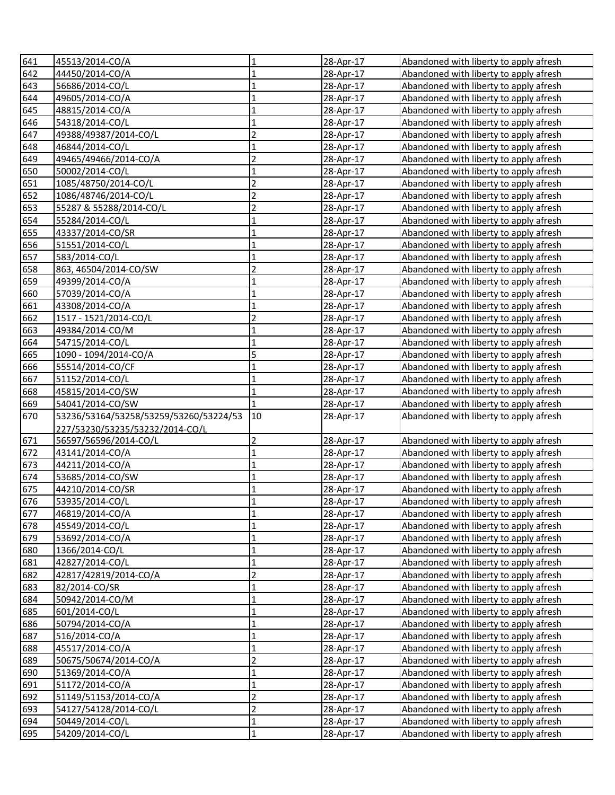| 641        | 45513/2014-CO/A                        | 1              | 28-Apr-17              | Abandoned with liberty to apply afresh                                           |
|------------|----------------------------------------|----------------|------------------------|----------------------------------------------------------------------------------|
| 642        | 44450/2014-CO/A                        | $\mathbf{1}$   | 28-Apr-17              | Abandoned with liberty to apply afresh                                           |
| 643        | 56686/2014-CO/L                        | $\mathbf{1}$   | 28-Apr-17              | Abandoned with liberty to apply afresh                                           |
| 644        | 49605/2014-CO/A                        | $\mathbf 1$    | 28-Apr-17              | Abandoned with liberty to apply afresh                                           |
| 645        | 48815/2014-CO/A                        | $\mathbf{1}$   | 28-Apr-17              | Abandoned with liberty to apply afresh                                           |
| 646        | 54318/2014-CO/L                        | $\mathbf 1$    | 28-Apr-17              | Abandoned with liberty to apply afresh                                           |
| 647        | 49388/49387/2014-CO/L                  | $\overline{2}$ | 28-Apr-17              | Abandoned with liberty to apply afresh                                           |
| 648        | 46844/2014-CO/L                        | $\mathbf 1$    | 28-Apr-17              | Abandoned with liberty to apply afresh                                           |
| 649        | 49465/49466/2014-CO/A                  | $\overline{2}$ | 28-Apr-17              | Abandoned with liberty to apply afresh                                           |
| 650        | 50002/2014-CO/L                        | $\mathbf 1$    | 28-Apr-17              | Abandoned with liberty to apply afresh                                           |
| 651        | 1085/48750/2014-CO/L                   | $\overline{2}$ | 28-Apr-17              | Abandoned with liberty to apply afresh                                           |
| 652        | 1086/48746/2014-CO/L                   | $\overline{2}$ | 28-Apr-17              | Abandoned with liberty to apply afresh                                           |
| 653        | 55287 & 55288/2014-CO/L                | $\overline{2}$ | 28-Apr-17              | Abandoned with liberty to apply afresh                                           |
| 654        | 55284/2014-CO/L                        | $\overline{1}$ | 28-Apr-17              | Abandoned with liberty to apply afresh                                           |
| 655        | 43337/2014-CO/SR                       | $\mathbf{1}$   | 28-Apr-17              | Abandoned with liberty to apply afresh                                           |
| 656        | 51551/2014-CO/L                        | $\mathbf{1}$   | 28-Apr-17              | Abandoned with liberty to apply afresh                                           |
| 657        | 583/2014-CO/L                          | $\mathbf{1}$   | 28-Apr-17              | Abandoned with liberty to apply afresh                                           |
| 658        | 863, 46504/2014-CO/SW                  | $\overline{2}$ | 28-Apr-17              | Abandoned with liberty to apply afresh                                           |
| 659        | 49399/2014-CO/A                        | 1              | 28-Apr-17              | Abandoned with liberty to apply afresh                                           |
| 660        | 57039/2014-CO/A                        | $\mathbf{1}$   | 28-Apr-17              | Abandoned with liberty to apply afresh                                           |
| 661        | 43308/2014-CO/A                        | $\mathbf{1}$   | 28-Apr-17              | Abandoned with liberty to apply afresh                                           |
| 662        | 1517 - 1521/2014-CO/L                  | $\overline{2}$ | 28-Apr-17              | Abandoned with liberty to apply afresh                                           |
| 663        | 49384/2014-CO/M                        | $\mathbf{1}$   | 28-Apr-17              | Abandoned with liberty to apply afresh                                           |
| 664        | 54715/2014-CO/L                        | $\mathbf{1}$   | 28-Apr-17              | Abandoned with liberty to apply afresh                                           |
| 665        | 1090 - 1094/2014-CO/A                  | 5              | 28-Apr-17              | Abandoned with liberty to apply afresh                                           |
| 666        | 55514/2014-CO/CF                       | $\mathbf{1}$   | 28-Apr-17              | Abandoned with liberty to apply afresh                                           |
| 667        | 51152/2014-CO/L                        | $\mathbf{1}$   | 28-Apr-17              | Abandoned with liberty to apply afresh                                           |
| 668        | 45815/2014-CO/SW                       | $\mathbf{1}$   | 28-Apr-17              | Abandoned with liberty to apply afresh                                           |
| 669        | 54041/2014-CO/SW                       |                | 28-Apr-17              | Abandoned with liberty to apply afresh                                           |
| 670        | 53236/53164/53258/53259/53260/53224/53 | 10             | 28-Apr-17              | Abandoned with liberty to apply afresh                                           |
|            | 227/53230/53235/53232/2014-CO/L        |                |                        |                                                                                  |
| 671        | 56597/56596/2014-CO/L                  | $\overline{2}$ | 28-Apr-17              | Abandoned with liberty to apply afresh                                           |
|            | 43141/2014-CO/A                        | $\mathbf{1}$   | 28-Apr-17              | Abandoned with liberty to apply afresh                                           |
| 672        |                                        |                |                        |                                                                                  |
| 673        | 44211/2014-CO/A                        | $\overline{1}$ | 28-Apr-17              | Abandoned with liberty to apply afresh                                           |
| 674        | 53685/2014-CO/SW                       | $\mathbf 1$    | 28-Apr-17              | Abandoned with liberty to apply afresh                                           |
| 675        | 44210/2014-CO/SR                       | $\mathbf{1}$   | 28-Apr-17              | Abandoned with liberty to apply afresh                                           |
| 676        | 53935/2014-CO/L                        | $\mathbf{1}$   | 28-Apr-17              | Abandoned with liberty to apply afresh                                           |
| 677        | 46819/2014-CO/A                        | $\mathbf{1}$   | 28-Apr-17              | Abandoned with liberty to apply afresh                                           |
| 678        | 45549/2014-CO/L                        | $\mathbf 1$    | 28-Apr-17              | Abandoned with liberty to apply afresh                                           |
| 679        | 53692/2014-CO/A                        | $\mathbf 1$    | 28-Apr-17              | Abandoned with liberty to apply afresh                                           |
| 680        | 1366/2014-CO/L                         | $\mathbf 1$    | 28-Apr-17              | Abandoned with liberty to apply afresh                                           |
| 681        | 42827/2014-CO/L                        | $\mathbf 1$    | 28-Apr-17              | Abandoned with liberty to apply afresh                                           |
| 682        | 42817/42819/2014-CO/A                  | $\overline{c}$ | 28-Apr-17              | Abandoned with liberty to apply afresh                                           |
| 683        | 82/2014-CO/SR                          | $\mathbf 1$    | 28-Apr-17              | Abandoned with liberty to apply afresh                                           |
| 684        | 50942/2014-CO/M                        | $\mathbf 1$    | 28-Apr-17              | Abandoned with liberty to apply afresh                                           |
| 685        | 601/2014-CO/L                          | $\mathbf 1$    | 28-Apr-17              | Abandoned with liberty to apply afresh                                           |
| 686        | 50794/2014-CO/A                        | $\mathbf{1}$   | 28-Apr-17              | Abandoned with liberty to apply afresh                                           |
| 687        | 516/2014-CO/A                          | $\mathbf{1}$   | 28-Apr-17              | Abandoned with liberty to apply afresh                                           |
| 688        | 45517/2014-CO/A                        | $\mathbf{1}$   | 28-Apr-17              | Abandoned with liberty to apply afresh                                           |
| 689        | 50675/50674/2014-CO/A                  | $\overline{c}$ | 28-Apr-17              | Abandoned with liberty to apply afresh                                           |
| 690        | 51369/2014-CO/A                        | $\mathbf{1}$   | 28-Apr-17              | Abandoned with liberty to apply afresh                                           |
| 691        | 51172/2014-CO/A                        | $\mathbf 1$    | 28-Apr-17              | Abandoned with liberty to apply afresh                                           |
| 692        | 51149/51153/2014-CO/A                  | $\overline{2}$ | 28-Apr-17              | Abandoned with liberty to apply afresh                                           |
| 693        | 54127/54128/2014-CO/L                  | $\overline{2}$ | 28-Apr-17              | Abandoned with liberty to apply afresh                                           |
| 694<br>695 | 50449/2014-CO/L<br>54209/2014-CO/L     | $\mathbf 1$    | 28-Apr-17<br>28-Apr-17 | Abandoned with liberty to apply afresh<br>Abandoned with liberty to apply afresh |